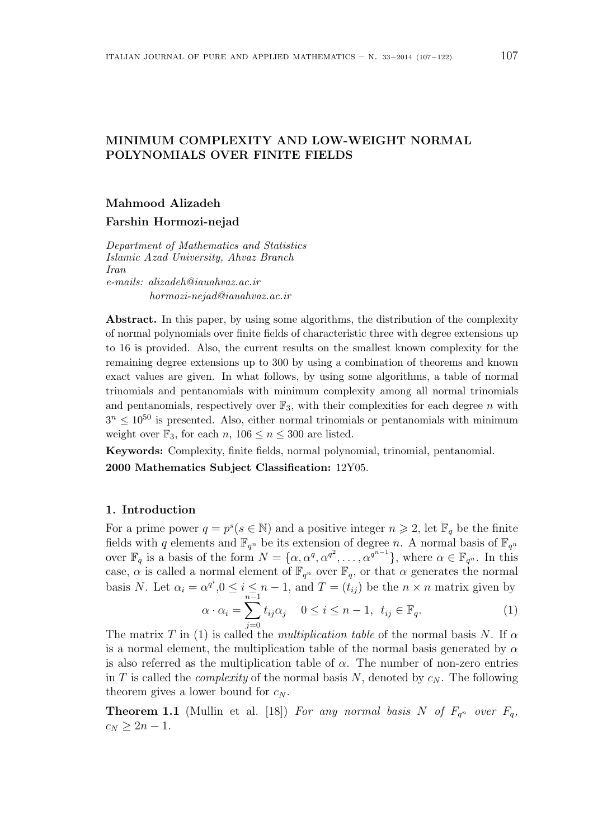## MINIMUM COMPLEXITY AND LOW-WEIGHT NORMAL POLYNOMIALS OVER FINITE FIELDS

# Mahmood Alizadeh

Farshin Hormozi-nejad

Department of Mathematics and Statistics Islamic Azad University, Ahvaz Branch Iran e-mails: alizadeh@iauahvaz.ac.ir hormozi-nejad@iauahvaz.ac.ir

Abstract. In this paper, by using some algorithms, the distribution of the complexity of normal polynomials over finite fields of characteristic three with degree extensions up to 16 is provided. Also, the current results on the smallest known complexity for the remaining degree extensions up to 300 by using a combination of theorems and known exact values are given. In what follows, by using some algorithms, a table of normal trinomials and pentanomials with minimum complexity among all normal trinomials and pentanomials, respectively over  $\mathbb{F}_3$ , with their complexities for each degree n with  $3^{n} \leq 10^{50}$  is presented. Also, either normal trinomials or pentanomials with minimum weight over  $\mathbb{F}_3$ , for each n,  $106 \le n \le 300$  are listed.

Keywords: Complexity, finite fields, normal polynomial, trinomial, pentanomial. 2000 Mathematics Subject Classification: 12Y05.

#### 1. Introduction

For a prime power  $q = p^s (s \in \mathbb{N})$  and a positive integer  $n \geq 2$ , let  $\mathbb{F}_q$  be the finite fields with q elements and  $\mathbb{F}_{q^n}$  be its extension of degree n. A normal basis of  $\mathbb{F}_{q^n}$ over  $\mathbb{F}_q$  is a basis of the form  $N = \{\alpha, \alpha^q, \alpha^{q^2}, \dots, \alpha^{q^{n-1}}\}$ , where  $\alpha \in \mathbb{F}_{q^n}$ . In this case,  $\alpha$  is called a normal element of  $\mathbb{F}_{q^n}$  over  $\mathbb{F}_q$ , or that  $\alpha$  generates the normal basis N. Let  $\alpha_i = \alpha^{q^i}, 0 \leq i \leq n-1$ , and  $T = (t_{ij})$  be the  $n \times n$  matrix given by

$$
\alpha \cdot \alpha_i = \sum_{j=0}^{n-1} t_{ij} \alpha_j \quad 0 \le i \le n-1, \ t_{ij} \in \mathbb{F}_q.
$$
 (1)

The matrix T in (1) is called the *multiplication table* of the normal basis N. If  $\alpha$ is a normal element, the multiplication table of the normal basis generated by  $\alpha$ is also referred as the multiplication table of  $\alpha$ . The number of non-zero entries in T is called the *complexity* of the normal basis N, denoted by  $c_N$ . The following theorem gives a lower bound for  $c_N$ .

**Theorem 1.1** (Mullin et al. [18]) For any normal basis N of  $F_{q^n}$  over  $F_q$ ,  $c_N > 2n - 1$ .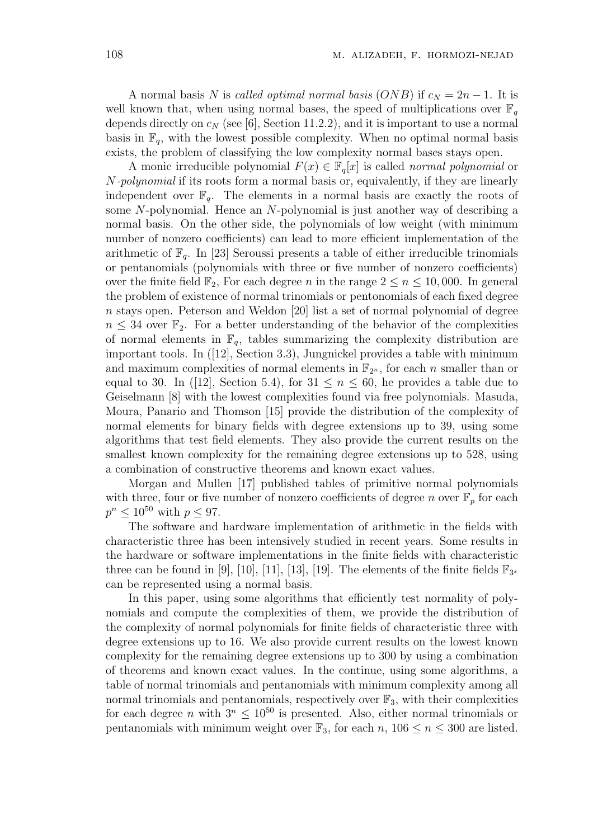A normal basis N is called optimal normal basis (ONB) if  $c_N = 2n - 1$ . It is well known that, when using normal bases, the speed of multiplications over  $\mathbb{F}_q$ depends directly on  $c_N$  (see [6], Section 11.2.2), and it is important to use a normal basis in  $\mathbb{F}_q$ , with the lowest possible complexity. When no optimal normal basis exists, the problem of classifying the low complexity normal bases stays open.

A monic irreducible polynomial  $F(x) \in \mathbb{F}_q[x]$  is called *normal polynomial* or N-polynomial if its roots form a normal basis or, equivalently, if they are linearly independent over  $\mathbb{F}_q$ . The elements in a normal basis are exactly the roots of some N-polynomial. Hence an N-polynomial is just another way of describing a normal basis. On the other side, the polynomials of low weight (with minimum number of nonzero coefficients) can lead to more efficient implementation of the arithmetic of  $\mathbb{F}_q$ . In [23] Seroussi presents a table of either irreducible trinomials or pentanomials (polynomials with three or five number of nonzero coefficients) over the finite field  $\mathbb{F}_2$ , For each degree n in the range  $2 \leq n \leq 10,000$ . In general the problem of existence of normal trinomials or pentonomials of each fixed degree n stays open. Peterson and Weldon [20] list a set of normal polynomial of degree  $n \leq 34$  over  $\mathbb{F}_2$ . For a better understanding of the behavior of the complexities of normal elements in  $\mathbb{F}_q$ , tables summarizing the complexity distribution are important tools. In ([12], Section 3.3), Jungnickel provides a table with minimum and maximum complexities of normal elements in  $\mathbb{F}_{2^n}$ , for each n smaller than or equal to 30. In ([12], Section 5.4), for  $31 \leq n \leq 60$ , he provides a table due to Geiselmann [8] with the lowest complexities found via free polynomials. Masuda, Moura, Panario and Thomson [15] provide the distribution of the complexity of normal elements for binary fields with degree extensions up to 39, using some algorithms that test field elements. They also provide the current results on the smallest known complexity for the remaining degree extensions up to 528, using a combination of constructive theorems and known exact values.

Morgan and Mullen [17] published tables of primitive normal polynomials with three, four or five number of nonzero coefficients of degree n over  $\mathbb{F}_p$  for each  $p^n \leq 10^{50}$  with  $p \leq 97$ .

The software and hardware implementation of arithmetic in the fields with characteristic three has been intensively studied in recent years. Some results in the hardware or software implementations in the finite fields with characteristic three can be found in [9], [10], [11], [13], [19]. The elements of the finite fields  $\mathbb{F}_{3^s}$ can be represented using a normal basis.

In this paper, using some algorithms that efficiently test normality of polynomials and compute the complexities of them, we provide the distribution of the complexity of normal polynomials for finite fields of characteristic three with degree extensions up to 16. We also provide current results on the lowest known complexity for the remaining degree extensions up to 300 by using a combination of theorems and known exact values. In the continue, using some algorithms, a table of normal trinomials and pentanomials with minimum complexity among all normal trinomials and pentanomials, respectively over  $\mathbb{F}_3$ , with their complexities for each degree n with  $3^n \leq 10^{50}$  is presented. Also, either normal trinomials or pentanomials with minimum weight over  $\mathbb{F}_3$ , for each n,  $106 \le n \le 300$  are listed.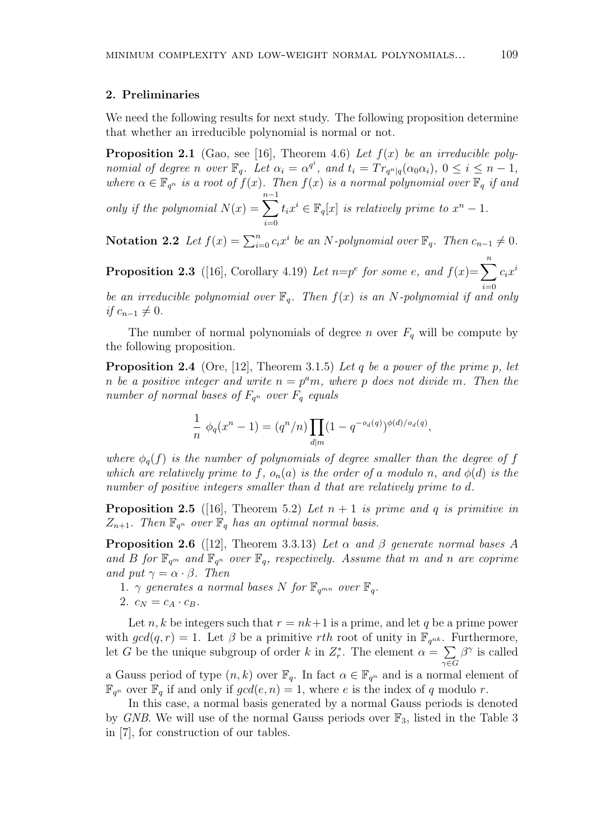#### 2. Preliminaries

We need the following results for next study. The following proposition determine that whether an irreducible polynomial is normal or not.

**Proposition 2.1** (Gao, see [16], Theorem 4.6) Let  $f(x)$  be an irreducible polynomial of degree n over  $\mathbb{F}_q$ . Let  $\alpha_i = \alpha^{q^i}$ , and  $t_i = Tr_{q^n|q}(\alpha_0\alpha_i)$ ,  $0 \le i \le n-1$ , where  $\alpha \in \mathbb{F}_{q^n}$  is a root of  $f(x)$ . Then  $f(x)$  is a normal polynomial over  $\mathbb{F}_q$  if and only if the polynomial  $N(x) = \sum_{n=1}^{n-1}$  $t_ix^i \in \mathbb{F}_q[x]$  is relatively prime to  $x^n-1$ .

**Notation 2.2** Let  $f(x) = \sum_{i=0}^{n} c_i x^i$  be an N-polynomial over  $\mathbb{F}_q$ . Then  $c_{n-1} \neq 0$ .

 $i=0$ 

**Proposition 2.3** ([16], Corollary 4.19) Let  $n=p^e$  for some e, and  $f(x)=\sum_{n=1}^n$  $i=0$  $c_ix^i$ 

be an irreducible polynomial over  $\mathbb{F}_q$ . Then  $f(x)$  is an N-polynomial if and only *if*  $c_{n-1} \neq 0$ .

The number of normal polynomials of degree n over  $F_q$  will be compute by the following proposition.

**Proposition 2.4** (Ore, [12], Theorem 3.1.5) Let q be a power of the prime p, let n be a positive integer and write  $n = p^a m$ , where p does not divide m. Then the number of normal bases of  $F_{q^n}$  over  $F_q$  equals

$$
\frac{1}{n} \phi_q(x^n - 1) = (q^n/n) \prod_{d|m} (1 - q^{-o_d(q)})^{\phi(d)/o_d(q)},
$$

where  $\phi_q(f)$  is the number of polynomials of degree smaller than the degree of f which are relatively prime to f,  $o_n(a)$  is the order of a modulo n, and  $\phi(d)$  is the number of positive integers smaller than d that are relatively prime to d.

**Proposition 2.5** ([16], Theorem 5.2) Let  $n + 1$  is prime and q is primitive in  $Z_{n+1}$ . Then  $\mathbb{F}_{q^n}$  over  $\mathbb{F}_q$  has an optimal normal basis.

**Proposition 2.6** ([12], Theorem 3.3.13) Let  $\alpha$  and  $\beta$  generate normal bases A and B for  $\mathbb{F}_{q^m}$  and  $\mathbb{F}_{q^n}$  over  $\mathbb{F}_q$ , respectively. Assume that m and n are coprime and put  $\gamma = \alpha \cdot \beta$ . Then

- 1.  $\gamma$  generates a normal bases N for  $\mathbb{F}_{q^{\text{mn}}}$  over  $\mathbb{F}_{q}$ .
- 2.  $c_N = c_A \cdot c_B$ .

Let n, k be integers such that  $r = nk+1$  is a prime, and let q be a prime power with  $gcd(q, r) = 1$ . Let  $\beta$  be a primitive rth root of unity in  $\mathbb{F}_{q^{nk}}$ . Furthermore, let G be the unique subgroup of order k in  $Z_r^*$ . The element  $\alpha =$  $\gamma{\in}G$  $\beta^{\gamma}$  is called a Gauss period of type  $(n, k)$  over  $\mathbb{F}_q$ . In fact  $\alpha \in \mathbb{F}_{q^n}$  and is a normal element of  $\mathbb{F}_{q^n}$  over  $\mathbb{F}_q$  if and only if  $gcd(e, n) = 1$ , where e is the index of q modulo r.

In this case, a normal basis generated by a normal Gauss periods is denoted by GNB. We will use of the normal Gauss periods over  $\mathbb{F}_3$ , listed in the Table 3 in [7], for construction of our tables.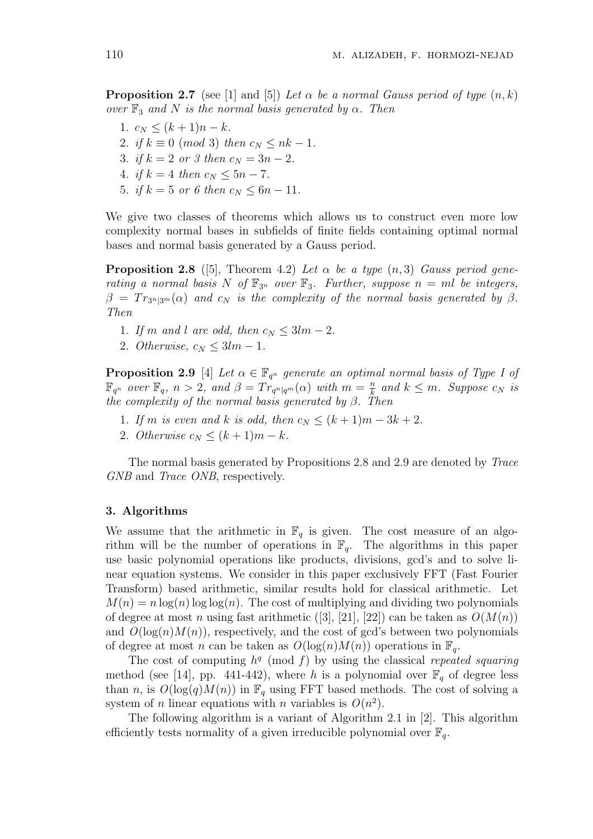**Proposition 2.7** (see [1] and [5]) Let  $\alpha$  be a normal Gauss period of type  $(n, k)$ over  $\mathbb{F}_3$  and N is the normal basis generated by  $\alpha$ . Then

- 1.  $c_N \leq (k+1)n k$ .
- 2. if  $k \equiv 0 \pmod{3}$  then  $c_N \leq nk-1$ .
- 3. if  $k = 2$  or 3 then  $c_N = 3n 2$ .
- 4. if  $k = 4$  then  $c_N \leq 5n 7$ .
- 5. if  $k = 5$  or 6 then  $c_N \leq 6n 11$ .

We give two classes of theorems which allows us to construct even more low complexity normal bases in subfields of finite fields containing optimal normal bases and normal basis generated by a Gauss period.

**Proposition 2.8** ([5], Theorem 4.2) Let  $\alpha$  be a type  $(n, 3)$  Gauss period generating a normal basis N of  $\mathbb{F}_{3^n}$  over  $\mathbb{F}_3$ . Further, suppose  $n = ml$  be integers,  $\beta = Tr_{3^n|3^m}(\alpha)$  and  $c_N$  is the complexity of the normal basis generated by  $\beta$ . Then

- 1. If m and l are odd, then  $c_N \leq 3lm 2$ .
- 2. Otherwise,  $c_N \leq 3lm 1$ .

**Proposition 2.9** [4] Let  $\alpha \in \mathbb{F}_{q^n}$  generate an optimal normal basis of Type I of  $\mathbb{F}_{q^n}$  over  $\mathbb{F}_q$ ,  $n > 2$ , and  $\beta = Tr_{q^n|q^m}(\alpha)$  with  $m = \frac{n}{k}$  $\frac{n}{k}$  and  $k \leq m$ . Suppose  $c_N$  is the complexity of the normal basis generated by  $\beta$ . Then

- 1. If m is even and k is odd, then  $c_N \leq (k+1)m 3k + 2$ .
- 2. Otherwise  $c_N \leq (k+1)m k$ .

The normal basis generated by Propositions 2.8 and 2.9 are denoted by Trace GNB and *Trace ONB*, respectively.

#### 3. Algorithms

We assume that the arithmetic in  $\mathbb{F}_q$  is given. The cost measure of an algorithm will be the number of operations in  $\mathbb{F}_q$ . The algorithms in this paper use basic polynomial operations like products, divisions, gcd's and to solve linear equation systems. We consider in this paper exclusively FFT (Fast Fourier Transform) based arithmetic, similar results hold for classical arithmetic. Let  $M(n) = n \log(n) \log \log(n)$ . The cost of multiplying and dividing two polynomials of degree at most n using fast arithmetic ([3], [21], [22]) can be taken as  $O(M(n))$ and  $O(log(n)M(n))$ , respectively, and the cost of gcd's between two polynomials of degree at most n can be taken as  $O(\log(n)M(n))$  operations in  $\mathbb{F}_q$ .

The cost of computing  $h^q \pmod{f}$  by using the classical repeated squaring method (see [14], pp. 441-442), where h is a polynomial over  $\mathbb{F}_q$  of degree less than n, is  $O(\log(q)M(n))$  in  $\mathbb{F}_q$  using FFT based methods. The cost of solving a system of *n* linear equations with *n* variables is  $O(n^2)$ .

The following algorithm is a variant of Algorithm 2.1 in [2]. This algorithm efficiently tests normality of a given irreducible polynomial over  $\mathbb{F}_q$ .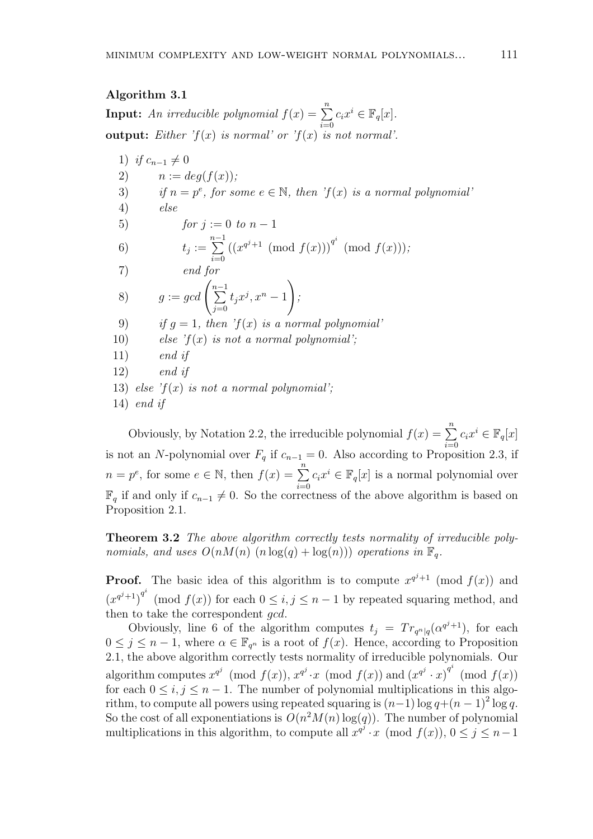#### Algorithm 3.1

**Input:** An irreducible polynomial  $f(x) = \sum_{n=1}^{\infty}$  $i=0$  $c_i x^i \in \mathbb{F}_q[x]$ . **output:** Either  $f(x)$  is normal' or  $f(x)$  is not normal'.

1) if 
$$
c_{n-1} \neq 0
$$
  
\n2)  $n := deg(f(x));$   
\n3) if  $n = p^e$ , for some  $e \in \mathbb{N}$ , then 'f(x) is a normal polynomial'  
\n4) else  
\n5) for  $j := 0$  to  $n - 1$   
\n6)  $t_j := \sum_{i=0}^{n-1} ((x^{q^j+1} \pmod{f(x)}))^{q^i} \pmod{f(x)});$   
\n7) end for  
\n8)  $g := gcd\left(\sum_{j=0}^{n-1} t_j x^j, x^n - 1\right);$   
\n9) if  $g = 1$ , then 'f(x) is a normal polynomial'  
\n10) else 'f(x) is not a normal polynomial';  
\n11) end if  
\n12) end if  
\n13) else 'f(x) is not a normal polynomial';  
\n14) end if

Obviously, by Notation 2.2, the irreducible polynomial  $f(x) = \sum_{n=1}^n$  $i=0$  $c_i x^i \in \mathbb{F}_q[x]$ is not an N-polynomial over  $F_q$  if  $c_{n-1} = 0$ . Also according to Proposition 2.3, if  $n = p^e$ , for some  $e \in \mathbb{N}$ , then  $f(x) = \sum_{n=1}^{\infty}$  $i=0$  $c_i x^i \in \mathbb{F}_q[x]$  is a normal polynomial over  $\mathbb{F}_q$  if and only if  $c_{n-1} \neq 0$ . So the correctness of the above algorithm is based on Proposition 2.1.

Theorem 3.2 The above algorithm correctly tests normality of irreducible polynomials, and uses  $O(nM(n)$   $(n \log(q) + \log(n)))$  operations in  $\mathbb{F}_q$ .

**Proof.** The basic idea of this algorithm is to compute  $x^{q^{j+1}}$  (mod  $f(x)$ ) and  $(x^{q^{j}+1})^{q^{i}}$  (mod  $f(x)$ ) for each  $0 \leq i, j \leq n-1$  by repeated squaring method, and then to take the correspondent *gcd*.

Obviously, line 6 of the algorithm computes  $t_j = Tr_{q^n|q}(\alpha^{q^j+1})$ , for each  $0 \leq j \leq n-1$ , where  $\alpha \in \mathbb{F}_{q^n}$  is a root of  $f(x)$ . Hence, according to Proposition 2.1, the above algorithm correctly tests normality of irreducible polynomials. Our algorithm computes  $x^{q^j} \pmod{f(x)}$ ,  $x^{q^j} \cdot x \pmod{f(x)}$  and  $(x^{q^j} \cdot x)^{q^i} \pmod{f(x)}$ for each  $0 \le i, j \le n - 1$ . The number of polynomial multiplications in this algorithm, to compute all powers using repeated squaring is  $(n-1)\log q + (n-1)^2 \log q$ . So the cost of all exponentiations is  $O(n^2M(n)\log(q))$ . The number of polynomial multiplications in this algorithm, to compute all  $x^{q^j} \cdot x \pmod{f(x)}$ ,  $0 \leq j \leq n-1$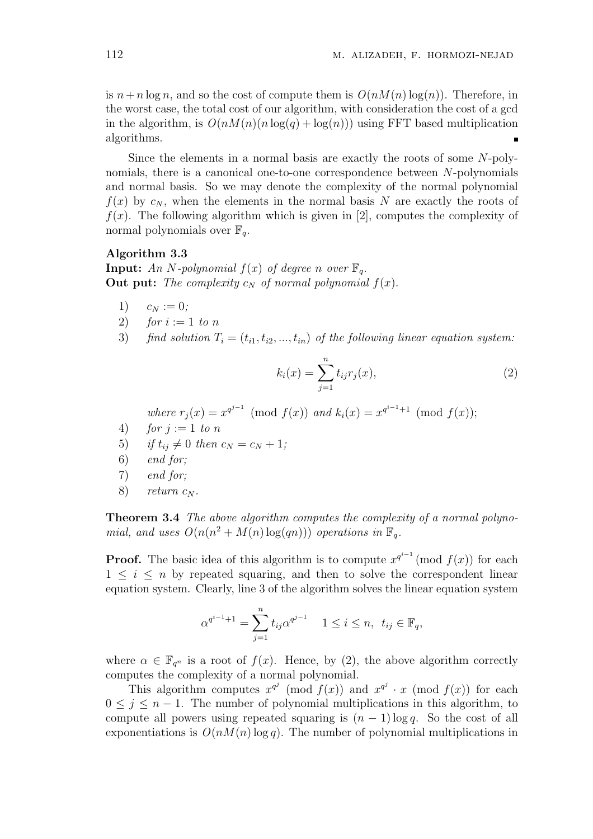is  $n + n \log n$ , and so the cost of compute them is  $O(nM(n) \log(n))$ . Therefore, in the worst case, the total cost of our algorithm, with consideration the cost of a gcd in the algorithm, is  $O(nM(n)(n \log(q) + \log(n)))$  using FFT based multiplication algorithms.  $\blacksquare$ 

Since the elements in a normal basis are exactly the roots of some N-polynomials, there is a canonical one-to-one correspondence between N-polynomials and normal basis. So we may denote the complexity of the normal polynomial  $f(x)$  by  $c_N$ , when the elements in the normal basis N are exactly the roots of  $f(x)$ . The following algorithm which is given in [2], computes the complexity of normal polynomials over  $\mathbb{F}_q$ .

#### Algorithm 3.3

**Input:** An N-polynomial  $f(x)$  of degree n over  $\mathbb{F}_q$ . Out put: The complexity  $c_N$  of normal polynomial  $f(x)$ .

- 1)  $c_N := 0;$
- 2) for  $i := 1$  to n
- 3) find solution  $T_i = (t_{i1}, t_{i2}, ..., t_{in})$  of the following linear equation system:

$$
k_i(x) = \sum_{j=1}^n t_{ij} r_j(x),
$$
\n(2)

where  $r_j(x) = x^{q^{j-1}} \pmod{f(x)}$  and  $k_i(x) = x^{q^{i-1}+1} \pmod{f(x)}$ ;

- 4) for  $j := 1$  to n
- 5) if  $t_{ij} \neq 0$  then  $c_N = c_N + 1$ ;
- 6) end for;
- 7) end for;
- 8) return  $c_N$ .

Theorem 3.4 The above algorithm computes the complexity of a normal polynomial, and uses  $O(n(n^2 + M(n) \log(qn)))$  operations in  $\mathbb{F}_q$ .

**Proof.** The basic idea of this algorithm is to compute  $x^{q^{i-1}} \pmod{f(x)}$  for each  $1 \leq i \leq n$  by repeated squaring, and then to solve the correspondent linear equation system. Clearly, line 3 of the algorithm solves the linear equation system

$$
\alpha^{q^{i-1}+1} = \sum_{j=1}^{n} t_{ij} \alpha^{q^{j-1}} \quad 1 \le i \le n, \ t_{ij} \in \mathbb{F}_q,
$$

where  $\alpha \in \mathbb{F}_{q^n}$  is a root of  $f(x)$ . Hence, by (2), the above algorithm correctly computes the complexity of a normal polynomial.

This algorithm computes  $x^{q^j} \pmod{f(x)}$  and  $x^{q^j} \cdot x \pmod{f(x)}$  for each  $0 \leq j \leq n-1$ . The number of polynomial multiplications in this algorithm, to compute all powers using repeated squaring is  $(n - 1) \log q$ . So the cost of all exponentiations is  $O(nM(n) \log q)$ . The number of polynomial multiplications in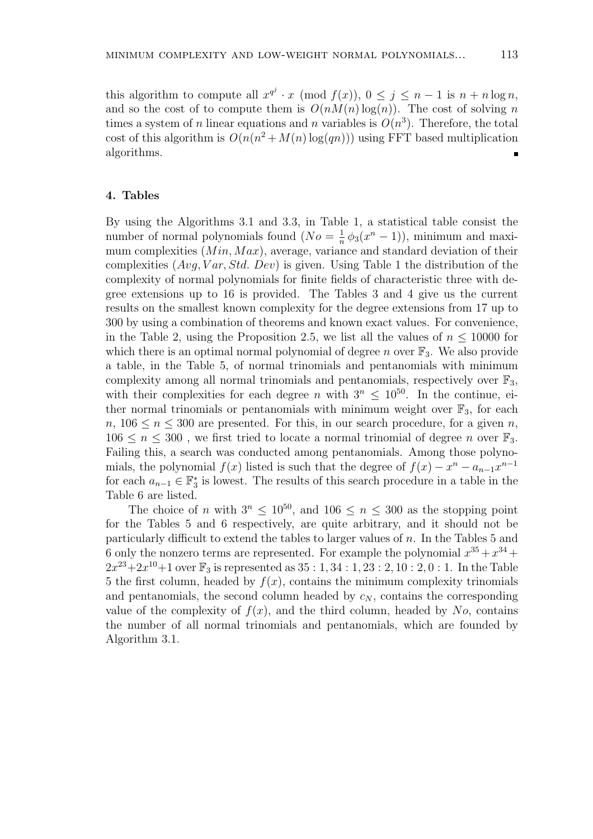this algorithm to compute all  $x^{q^j} \cdot x \pmod{f(x)}$ ,  $0 \leq j \leq n-1$  is  $n+n \log n$ , and so the cost of to compute them is  $O(nM(n) \log(n))$ . The cost of solving n times a system of *n* linear equations and *n* variables is  $O(n^3)$ . Therefore, the total cost of this algorithm is  $O(n(n^2 + M(n) \log(qn)))$  using FFT based multiplication algorithms.

#### 4. Tables

By using the Algorithms 3.1 and 3.3, in Table 1, a statistical table consist the number of normal polynomials found  $(No = \frac{1}{n})$  $\frac{1}{n}\phi_3(x^n-1)$ , minimum and maximum complexities  $(Min, Max)$ , average, variance and standard deviation of their complexities  $(Avg, Var, Std, Dev)$  is given. Using Table 1 the distribution of the complexity of normal polynomials for finite fields of characteristic three with degree extensions up to 16 is provided. The Tables 3 and 4 give us the current results on the smallest known complexity for the degree extensions from 17 up to 300 by using a combination of theorems and known exact values. For convenience, in the Table 2, using the Proposition 2.5, we list all the values of  $n \leq 10000$  for which there is an optimal normal polynomial of degree n over  $\mathbb{F}_3$ . We also provide a table, in the Table 5, of normal trinomials and pentanomials with minimum complexity among all normal trinomials and pentanomials, respectively over  $\mathbb{F}_3$ , with their complexities for each degree n with  $3^n \leq 10^{50}$ . In the continue, either normal trinomials or pentanomials with minimum weight over  $\mathbb{F}_3$ , for each  $n, 106 \le n \le 300$  are presented. For this, in our search procedure, for a given n,  $106 \leq n \leq 300$ , we first tried to locate a normal trinomial of degree n over  $\mathbb{F}_3$ . Failing this, a search was conducted among pentanomials. Among those polynomials, the polynomial  $f(x)$  listed is such that the degree of  $f(x) - x^n - a_{n-1}x^{n-1}$ for each  $a_{n-1} \in \mathbb{F}_3^*$  is lowest. The results of this search procedure in a table in the Table 6 are listed.

The choice of n with  $3^n \leq 10^{50}$ , and  $106 \leq n \leq 300$  as the stopping point for the Tables 5 and 6 respectively, are quite arbitrary, and it should not be particularly difficult to extend the tables to larger values of  $n$ . In the Tables 5 and 6 only the nonzero terms are represented. For example the polynomial  $x^{35} + x^{34} +$  $2x^{23} + 2x^{10} + 1$  over  $\mathbb{F}_3$  is represented as  $35 : 1, 34 : 1, 23 : 2, 10 : 2, 0 : 1$ . In the Table 5 the first column, headed by  $f(x)$ , contains the minimum complexity trinomials and pentanomials, the second column headed by  $c_N$ , contains the corresponding value of the complexity of  $f(x)$ , and the third column, headed by No, contains the number of all normal trinomials and pentanomials, which are founded by Algorithm 3.1.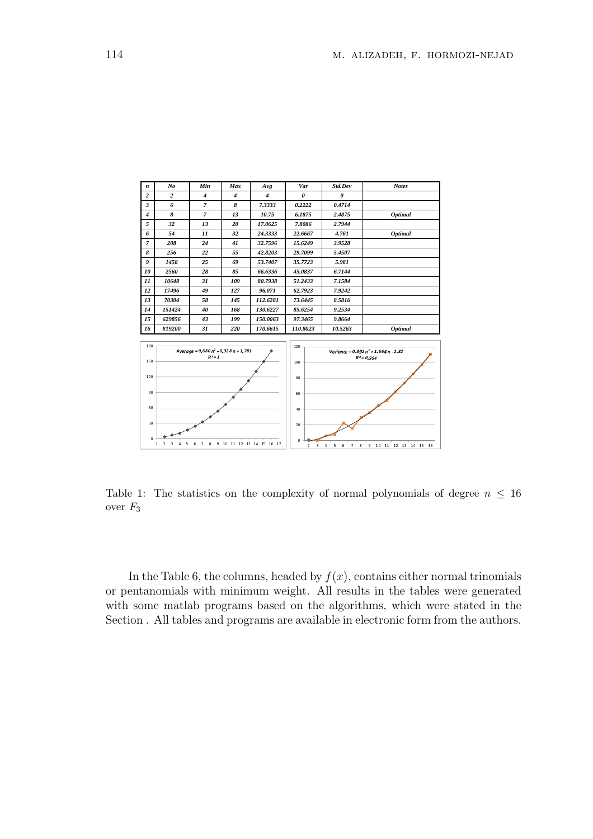| n                                                                                                                 | No                                                    | Min            | Max            | Avg              | Var                             | Std.Dev                                         | <b>Notes</b>                                           |
|-------------------------------------------------------------------------------------------------------------------|-------------------------------------------------------|----------------|----------------|------------------|---------------------------------|-------------------------------------------------|--------------------------------------------------------|
| $\overline{2}$                                                                                                    | $\overline{2}$                                        | $\overline{4}$ | $\overline{4}$ | $\boldsymbol{4}$ | $\theta$                        | $\theta$                                        |                                                        |
| 3                                                                                                                 | 6                                                     | $\overline{7}$ | 8              | 7.3333           | 0.2222                          | 0.4714                                          |                                                        |
| $\boldsymbol{4}$                                                                                                  | 8                                                     | $\overline{7}$ | 13             | 10.75            | 6.1875                          | 2.4875                                          | <b>Optimal</b>                                         |
| 5                                                                                                                 | 32                                                    | 13             | 20             | 17.0625          | 7.8086                          | 2.7944                                          |                                                        |
| 6                                                                                                                 | 54                                                    | $_{11}$        | 32             | 24.3333          | 22.6667                         | 4.761                                           | <b>Optimal</b>                                         |
| $\overline{7}$                                                                                                    | 208                                                   | 24             | 41             | 32.7596          | 15.6249                         | 3.9528                                          |                                                        |
| 8                                                                                                                 | 256                                                   | 22             | 55             | 42.8203          | 29,7099                         | 5.4507                                          |                                                        |
| 9                                                                                                                 | 1458                                                  | 25             | 69             | 53.7407          | 35,7723                         | 5.981                                           |                                                        |
| 10                                                                                                                | 2560                                                  | 28             | 85             | 66.6336          | 45.0837                         | 6.7144                                          |                                                        |
| 11                                                                                                                | 10648                                                 | 31             | 109            | 80.7938          | 51.2433                         | 7.1584                                          |                                                        |
| 12                                                                                                                | 17496                                                 | 49             | 127            | 96.071           | 62.7923                         | 7.9242                                          |                                                        |
| 13                                                                                                                | 70304                                                 | 58             | 145            | 112.6281         | 73.6445                         | 8.5816                                          |                                                        |
| 14                                                                                                                | 151424                                                | 40             | 168            | 130.6227         | 85.6254                         | 9.2534                                          |                                                        |
| 15                                                                                                                | 629856                                                | 43             | 199            | 150.0063         | 97.3465                         | 9.8664                                          |                                                        |
| 16                                                                                                                | 819200                                                | 31             | 220            | 170.6615         | 110.8023                        | 10.5263                                         | <b>Optimal</b>                                         |
| 180<br>150                                                                                                        | Average = $0.680$ $n^2 - 0.328n + 1.781$<br>$R^2 = 1$ |                |                |                  | 120<br>100                      |                                                 | Variance = $0.392p^2 + 1.664p - 2.82$<br>$R^2 = 0.994$ |
| 120<br>90                                                                                                         |                                                       |                |                |                  | 80                              |                                                 |                                                        |
| 60                                                                                                                |                                                       |                |                |                  | 60<br>40                        |                                                 |                                                        |
| 30                                                                                                                |                                                       |                |                |                  | 20                              |                                                 |                                                        |
| $\circ$<br>$\overline{7}$<br>8<br>9 10 11 12 13 14 15 16 17<br>$\mathbf{1}$<br>$\overline{2}$<br>3<br>6<br>5<br>4 |                                                       |                |                |                  | $\Omega$<br>3<br>$\overline{2}$ | 5<br>$\overline{4}$<br>6<br>$\overline{7}$<br>8 | 9<br>10 11 12 13 14 15 16                              |

Table 1: The statistics on the complexity of normal polynomials of degree  $n \leq 16$ over  $F_3$ 

In the Table 6, the columns, headed by  $f(x)$ , contains either normal trinomials or pentanomials with minimum weight. All results in the tables were generated with some matlab programs based on the algorithms, which were stated in the Section . All tables and programs are available in electronic form from the authors.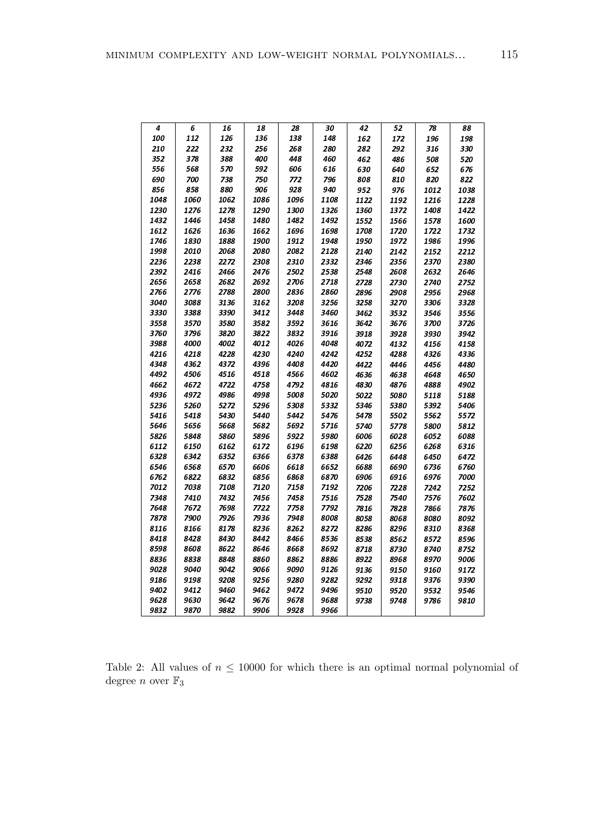| 4    | 6    | 16   | 18   | 28   | 30   | 42   | 52   | 78   | 88   |
|------|------|------|------|------|------|------|------|------|------|
| 100  | 112  | 126  | 136  | 138  | 148  | 162  | 172  | 196  | 198  |
| 210  | 222  | 232  | 256  | 268  | 280  | 282  | 292  | 316  | 330  |
| 352  | 378  | 388  | 400  | 448  | 460  | 462  | 486  | 508  | 520  |
| 556  | 568  | 570  | 592  | 606  | 616  | 630  | 640  | 652  | 676  |
| 690  | 700  | 738  | 750  | 772  | 796  | 808  | 810  | 820  | 822  |
| 856  | 858  | 880  | 906  | 928  | 940  | 952  | 976  | 1012 | 1038 |
| 1048 | 1060 | 1062 | 1086 | 1096 | 1108 | 1122 | 1192 | 1216 | 1228 |
| 1230 | 1276 | 1278 | 1290 | 1300 | 1326 | 1360 | 1372 | 1408 | 1422 |
| 1432 | 1446 | 1458 | 1480 | 1482 | 1492 | 1552 | 1566 | 1578 | 1600 |
| 1612 | 1626 | 1636 | 1662 | 1696 | 1698 | 1708 | 1720 | 1722 | 1732 |
| 1746 | 1830 | 1888 | 1900 | 1912 | 1948 | 1950 | 1972 | 1986 | 1996 |
| 1998 | 2010 | 2068 | 2080 | 2082 | 2128 | 2140 | 2142 | 2152 | 2212 |
| 2236 | 2238 | 2272 | 2308 | 2310 | 2332 | 2346 | 2356 | 2370 | 2380 |
| 2392 | 2416 | 2466 | 2476 | 2502 | 2538 | 2548 | 2608 | 2632 | 2646 |
| 2656 | 2658 | 2682 | 2692 | 2706 | 2718 | 2728 | 2730 | 2740 | 2752 |
| 2766 | 2776 | 2788 | 2800 | 2836 | 2860 | 2896 | 2908 | 2956 | 2968 |
| 3040 | 3088 | 3136 | 3162 | 3208 | 3256 | 3258 | 3270 | 3306 | 3328 |
| 3330 | 3388 | 3390 | 3412 | 3448 | 3460 | 3462 | 3532 | 3546 | 3556 |
| 3558 | 3570 | 3580 | 3582 | 3592 | 3616 | 3642 | 3676 | 3700 | 3726 |
| 3760 | 3796 | 3820 | 3822 | 3832 | 3916 | 3918 | 3928 | 3930 | 3942 |
| 3988 | 4000 | 4002 | 4012 | 4026 | 4048 | 4072 | 4132 | 4156 | 4158 |
| 4216 | 4218 | 4228 | 4230 | 4240 | 4242 | 4252 | 4288 | 4326 | 4336 |
| 4348 | 4362 | 4372 | 4396 | 4408 | 4420 | 4422 | 4446 | 4456 | 4480 |
| 4492 | 4506 | 4516 | 4518 | 4566 | 4602 | 4636 | 4638 | 4648 | 4650 |
| 4662 | 4672 | 4722 | 4758 | 4792 | 4816 | 4830 | 4876 | 4888 | 4902 |
| 4936 | 4972 | 4986 | 4998 | 5008 | 5020 | 5022 | 5080 | 5118 | 5188 |
| 5236 | 5260 | 5272 | 5296 | 5308 | 5332 | 5346 | 5380 | 5392 | 5406 |
| 5416 | 5418 | 5430 | 5440 | 5442 | 5476 | 5478 | 5502 | 5562 | 5572 |
| 5646 | 5656 | 5668 | 5682 | 5692 | 5716 | 5740 | 5778 | 5800 | 5812 |
| 5826 | 5848 | 5860 | 5896 | 5922 | 5980 | 6006 | 6028 | 6052 | 6088 |
| 6112 | 6150 | 6162 | 6172 | 6196 | 6198 | 6220 | 6256 | 6268 | 6316 |
| 6328 | 6342 | 6352 | 6366 | 6378 | 6388 | 6426 | 6448 | 6450 | 6472 |
| 6546 | 6568 | 6570 | 6606 | 6618 | 6652 | 6688 | 6690 | 6736 | 6760 |
| 6762 | 6822 | 6832 | 6856 | 6868 | 6870 | 6906 | 6916 | 6976 | 7000 |
| 7012 | 7038 | 7108 | 7120 | 7158 | 7192 | 7206 | 7228 | 7242 | 7252 |
| 7348 | 7410 | 7432 | 7456 | 7458 | 7516 | 7528 | 7540 | 7576 | 7602 |
| 7648 | 7672 | 7698 | 7722 | 7758 | 7792 | 7816 | 7828 | 7866 | 7876 |
| 7878 | 7900 | 7926 | 7936 | 7948 | 8008 | 8058 | 8068 | 8080 | 8092 |
| 8116 | 8166 | 8178 | 8236 | 8262 | 8272 | 8286 | 8296 | 8310 | 8368 |
| 8418 | 8428 | 8430 | 8442 | 8466 | 8536 | 8538 | 8562 | 8572 | 8596 |
| 8598 | 8608 | 8622 | 8646 | 8668 | 8692 | 8718 | 8730 | 8740 | 8752 |
| 8836 | 8838 | 8848 | 8860 | 8862 | 8886 | 8922 | 8968 | 8970 | 9006 |
| 9028 | 9040 | 9042 | 9066 | 9090 | 9126 | 9136 | 9150 | 9160 | 9172 |
| 9186 | 9198 | 9208 | 9256 | 9280 | 9282 | 9292 | 9318 | 9376 | 9390 |
| 9402 | 9412 | 9460 | 9462 | 9472 | 9496 | 9510 | 9520 | 9532 | 9546 |
| 9628 | 9630 | 9642 | 9676 | 9678 | 9688 | 9738 | 9748 | 9786 | 9810 |
| 9832 | 9870 | 9882 | 9906 | 9928 | 9966 |      |      |      |      |

Table 2: All values of  $n \leq 10000$  for which there is an optimal normal polynomial of degree n over  $\mathbb{F}_3$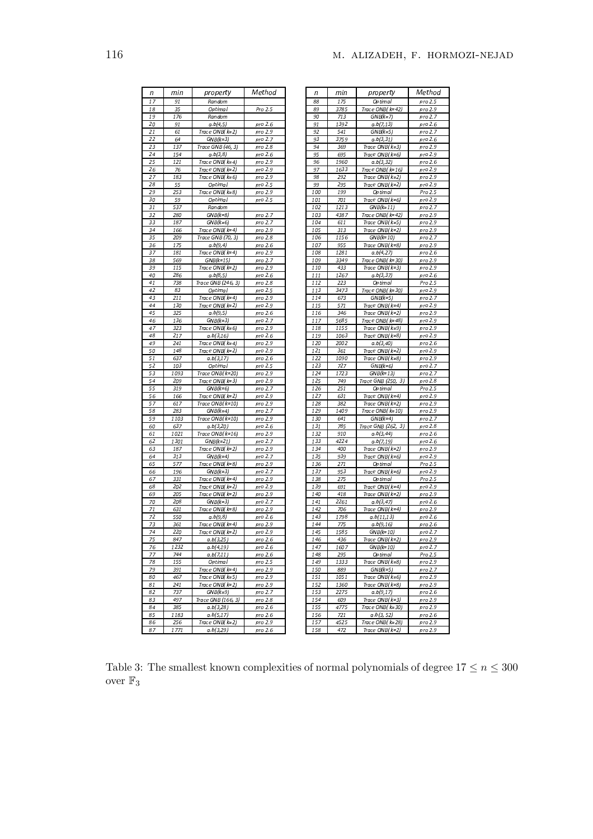| п        | min         | property                          | Method             |
|----------|-------------|-----------------------------------|--------------------|
| 17       | 91          | Random                            |                    |
| 18       | 35          | Op timal                          | Pro 2.5            |
| 19       | 176         | Random                            |                    |
| 20       | 91          | a.b(4,5)                          | pro 2.6            |
| 21       | 61          | Trace ONB(k=2)                    | pro 2.9            |
| 22       | 64          | GNB(k=3)                          | pro 2.7            |
| 23       | 137         | Trace GNB (46, 3)                 | pro 2.8            |
| 24       | 154         | a.b(3,8)                          | pro 2.6            |
| 25       | 121         | Trace ONB( k=4)                   | pro 2.9            |
| 26       | 76          | Trace ONB( k=2)                   | pro 2.9            |
| 27       | 183         | Trace ONB( k=6)                   | pro 2.9            |
| 28       | 55          | Op timal                          | pro 2.5            |
| 29       | 253         | Trace ONB( k=8)                   | pro 2.9            |
| 30       | 59          | Op timal                          | pro 2.5            |
| 31       | 537         | Random                            |                    |
| 32       | 280         | $GNB(k=8)$                        | pro 2.7            |
| 33       | 187         | $GNB(k=6)$                        | pro 2.7            |
| 34       | 166         | Trace ONB(k=4)                    | pro 2.9            |
| 35       | 209         | Trace GNB (70, 3)                 | pro 2.8            |
| 36       | 175         | a.b(9,4)                          | pro 2.6            |
| 37       | 181         | Trace ONB(k=4)                    | pro 2.9            |
| 38       | 569         | $GNB(k=15)$                       | pro 2.7            |
| 39       | 115         | Trace ONB(k=2)                    | pro 2.9            |
| 40       | 286         | a.b(8,5)                          | pro 2.6            |
| 41       | 738         | Trace GNB (246, 3)                | pro 2.8            |
| 42       | 83          | Op timal                          | pro 2.5            |
| 43       | 211         | Trace ONB( k=4)                   | pro 2.9            |
| 44       | 130         | Trace ONB(k=2)                    | pro 2.9            |
| 45       | 325         | a.b(9,5)                          | pro 2.6            |
| 46       | 136         | $GNB(k=3)$                        | pro 2.7            |
| 47       | 323         | Trace ONB( k=6)                   | pro 2.9            |
| 48       | 217         | a.b(3,16)                         | pro 2.6            |
| 49       | 241         | Trace ONB( k=4)                   | pro 2.9            |
| 50       | 148         | Trace ONB( k=2)                   | pro 2.9            |
| 51       | 637         | a.b(3,17)                         | pro 2.6            |
| 52       | 103         | Op timal                          | pro 2.5            |
| 53       | 1093        | Trace ONB( k=20)                  | pro 2.9            |
| 54       | 209         | Trace ONB( k=3)                   | pro 2.9            |
| 55       | 319         | $GNB(k=6)$                        | pro 2.7            |
| 56       | 166         | Trace $ONB(k=2)$                  | pro 2.9            |
| 57       | 617         | Trace ONB( k=10)                  | pro 2.9            |
| 58       | 283         | $GNB(k=4)$                        | pro 2.7            |
| 59       | 1103        | Trace ONB( k=10)                  | pro 2,9            |
| 60       | 637         | a.b(3,20)                         | pro 2.6            |
| 61       | 1021        | Trace ONB(k=16)                   | pro 2.9            |
| 62       | 1301        | $GNB(k=21)$                       | pro 2.7            |
| 63       | 187         | Trace ONB(k=2)                    | pro 2.9            |
| 64       | 313         | $GNB(k=4)$                        | pro 2.7            |
| 65       | 577         | Trace ONB( k=8)                   | pro 2.9            |
| 66       | 196         | $GNB(k=3)$                        | pro 2.7            |
| 67       | 331         | Trace ONB( k=4)                   | pro 2.9            |
| 68       | 202         | Trace ONB( k=2)                   | pro 2.9            |
| 69       | 205         | Trace ONB( k=2)                   | pro 2.9            |
| 70       | 208<br>631  | $GNB(k=3)$                        | pro 2.7<br>pro 2.9 |
| 71       |             | Trace ONB( k=8)                   |                    |
| 72       | 550         | a.b(9,8)                          | pro 2.6            |
| 73       | 361         | Trace ONB( k=4)                   | pro 2.9            |
| 74       | 220         | <u> Trace ONB( k=2)</u>           | <u>pro</u> 2.9     |
| 75       | 847         | a.b(3,25)                         | pro 2.6            |
| 76       | 1232<br>744 | a.b(4,19)                         | pro 2.6            |
| 77       |             | a.b(7,11)                         | pro 2.6            |
| 78       | 155         | Op timal                          | pro 2.5            |
| 79       | 391         | Trace $ONB(k=4)$                  | pro 2.9            |
| 80       | 467         | Trace ONB(k=5)                    | pro 2.9            |
| 81       | 241         | Trace ONB( k=2)<br>$GNB(k=9)$     | pro 2.9            |
| 82       | 737         |                                   | pro 2.7            |
| 83<br>84 | 497         | Trace GNB (166, 3)<br>a, b(3, 28) | pro 2,8            |
| 85       | 385         |                                   | pro 2.6            |
|          | 1183<br>256 | a.b(5,17)<br>Trace ONB( k=2)      | pro 2.6<br>pro 2.9 |
|          |             |                                   |                    |
| 86<br>87 | 1771        | a.b(3,29)                         | pro 2.6            |

| n            | min  | property                 | Method             |
|--------------|------|--------------------------|--------------------|
| 88           | 175  | Optimal                  | pro 2.5            |
| 89           | 3785 | Trace ONB( k=42)         | pro 2.9            |
| 90           | 713  |                          | pro 2.7            |
|              |      | $GNB(k=7)$               |                    |
| 91           | 1392 | a.b(7, 13)               | pro 2.6            |
| 92           | 541  | $GNB(k=5)$               | pro 2.7            |
| 93           | 3759 | a.b(3,31)                | pro 2.6            |
| 94           | 369  | Trace ONB( k=3)          | pro 2.9            |
| 95           | 695  | Trace ONB( k=6)          | pro 2.9            |
| 96           | 1960 | a.b(3,32)                | pro 2.6            |
| 97           | 1633 | Trace ONB( k=16)         | pro 2.9            |
| 98           | 292  | Trace ONB( k=2)          | pro 2.9            |
| 99           | 295  | Trace ONB( k=2)          | pro 2.9            |
| 100          | 199  | Optimal                  | Pro 2.5            |
| 101          | 701  | Trace ONB( k=6)          | pro 2.9            |
| 102          | 1213 | $GNB(k=11)$              | pro 2.7            |
| 103          | 4387 | Trace ONB( k=42)         | pro 2.9            |
| 104          | 611  | Trace ONB( k=5)          | pro 2.9            |
| 105          | 313  | Trace ONB( k=2)          | pro 2.9            |
| 106          | 1156 | $GNB(k=10)$              | pro 2.7            |
| 107          | 955  | Trace ONB( k=8)          | pro 2.9            |
| 108          | 1281 | a.b(4,27)                | pro 2.6            |
| 109          | 3349 | Trace ONB( k=30)         | pro 2.9            |
| 110          | 433  | Trace ONB( k=3)          | pro 2.9            |
| 111          | 1267 | a.b(3,37)                | pro 2.6            |
| 112          | 223  | Optimal                  | Pro 2.5            |
| 113          | 3473 | Trace ONB( k=30)         |                    |
| 114          | 673  |                          | pro 2.9<br>pro 2.7 |
|              |      | $GNB(k=5)$               |                    |
| 115          | 571  | Trace ONB( k=4)          | pro 2.9            |
| 116          | 346  | Trace ONB( k=2)          | pro 2.9            |
| 117          | 5685 | Trace ONB( k=48)         | pro 2.9            |
| 118          | 1155 | Trace ONB( k=9)          | pro 2.9            |
| 119          | 1063 | Trace ONB( k=8)          | pro 2.9            |
| 120          | 2002 | a.b(3,40)                | pro 2.6            |
| 121          | 361  | Trace ONB( k=2)          | pro 2.9            |
| 122          | 1090 | Trace ONB( k=8)          | pro 2.9            |
| 123          | 727  | $GNB(k=6)$               | pro 2.7            |
| 124          | 1723 | $GNB(k=13)$              | pro 2.7            |
| 125          | 749  | Trace GNB (250, 3)       | pro 2.8            |
| 126          | 251  | Optimal                  | Pro 2.5            |
| 127          | 631  | Trace ONB( k=4)          | pro 2.9            |
| 128          | 382  | Trace ONB( k=2)          | pro 2.9            |
| 129          | 1409 | Trace ONB( k=10)         | pro 2.9            |
| 130          | 641  | $GNB(k=4)$               | pro 2.7            |
| 131          | 785  | Trace GNB (262, 3)       | pro 2.8            |
| 132          | 910  | a.b(3,44)                | pro 2.6            |
| 133          | 4224 | a.b(7,19)                | pro 2.6            |
| 134          | 400  | Trace ONB( k=2)          | pro 2.9            |
| 135          | 939  | Trace ONB( k=6)          | pro 2.9            |
| 136          | 271  | Optimal                  | Pro 2.5            |
| 137          | 953  | Trace ONB( k=6)          | pro 2.9            |
| 138          | 275  | Optimal                  | Pro 2.5            |
| 139          | 691  | Trace ONB( k=4)          | pro 2.9            |
| 140          |      | Trace ONB( k=2)          |                    |
| 141          | 418  |                          | pro 2.9            |
| 142          | 2261 | a.b(3,47)                | pro 2.6            |
|              | 706  | Trace ONB( k=4)          | pro 2.9            |
| 143          | 1798 | a.b(11, 13)              | pro 2.6            |
| 144<br>1 A C | 775  | a.b(9,16)                | pro 2.6            |
|              | סכ   | אופויוי<br>10            | oro                |
| 146          | 436  | Trace ONB( k=2)          | pro 2.9            |
| 147          | 1607 | $GNB(k=10)$              | pro 2.7            |
| 148          | 295  | Optimal                  | Pro 2.5            |
| 149          | 1333 | Trace ONB( k=8)          | pro 2.9            |
| 150          | 889  | $GNB(k=5)$               | pro 2.7            |
| 151          | 1051 | Trace $ONB(k=6)$         | pro 2.9            |
| 152          | 1360 | Trace ONB( k=8)          | pro 2.9            |
| 153          | 2275 | a.b(9,17)                | pro 2.6            |
| 154          | 609  | Trace ONB( k=3)          | pro 2.9            |
| 155          | 4775 | Trace ONB( k=30)         | pro 2,9            |
| 156          | 721  | a.b(3, 52)               | pro 2.6            |
| 157          | 4525 | <u> Trace ONB(</u> k=28) | pro 2.9            |
| 158          | 472  | Trace $ONB($ $k=2)$      | pro 2.9            |
|              |      |                          |                    |

Table 3: The smallest known complexities of normal polynomials of degree  $17\leq n\leq 300$ over  $\mathbb{F}_3$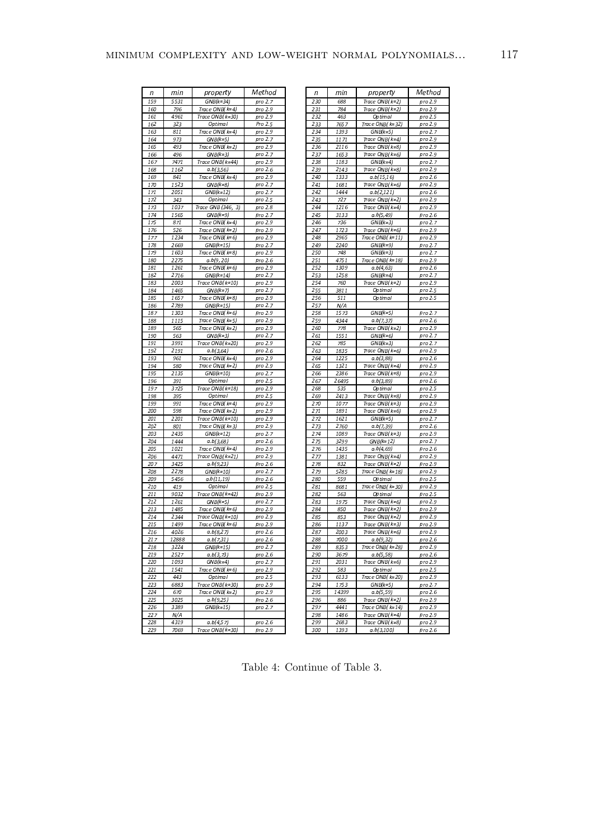| n          | min           | property                             | Method             | n          | min          | property                             | Method             |
|------------|---------------|--------------------------------------|--------------------|------------|--------------|--------------------------------------|--------------------|
| 159        | 5531          | $GNB(k=34)$                          | pro 2.7            | 230        | 688          | Trace $ONB(k=2)$                     | pro 2.9            |
| 160        | 796           | Trace ONB(k=4)                       | pro 2.9            | 231        | 784          | Trace ONB( k=2)                      | pro 2.9            |
| 161        | 4961          | Trace $ONB(k=30)$                    | pro 2.9            | 232        | 463          | Optimal                              | pro 2.5            |
| 162        | 323           | Op timal                             | Pro 2.5            | 233        | 7657         | Trace ONB( k=32)                     | pro 2.9            |
| 163        | 811           | Trace $ONB(k=4)$                     | pro 2.9            | 234        | 1393         | $GNB(k=5)$                           | pro 2.7            |
| 164        | 973           | $GNB(k=5)$                           | pro 2.7            | 235        | 1171         | Trace ONB( k=4)                      | pro 2.9            |
| 165<br>166 | 493<br>496    | Trace $ONB(k=2)$<br>$GNB(k=3)$       | pro 2.9<br>pro 2.7 | 236<br>237 | 2116<br>1653 | Trace ONB( k=8)<br>Trace $ONB(k=6)$  | pro 2.9<br>pro 2.9 |
| 167        | 7471          | Trace ONB(k=44)                      | pro 2.9            | 238        | 1183         | $GNB(k=4)$                           | pro 2.7            |
| 168        | 1162          | a.b(3,56)                            | pro 2.6            | 239        | 2143         | Trace ONB( k=8)                      | pro 2.9            |
| 169        | 841           | Trace $ONB(k=4)$                     | pro 2.9            | 240        | 1333         | a.b(15,16)                           | pro 2.6            |
| 170        | 1523          | $GNB(k=8)$                           | pro 2.7            | 241        | 1681         | Trace $ONB(k=6)$                     | pro 2,9            |
| 171        | 2051          | $GNB(k=12)$                          | pro 2.7            | 242        | 1444         | a.b(2, 121)                          | pro 2.6            |
| 172        | 343           | Op timal                             | pro 2.5            | 243        | 727          | Trace $ONB(k=2)$                     | pro 2.9            |
| 173        | 1037          | Trace GNB (346, 3)                   | pro 2.8            | 244        | 1216         | Trace ONB( k=4)                      | pro 2.9            |
| 174        | 1565          | $GNB(k=9)$                           | pro 2.7            | 245        | 3133         | a.b(5,49)                            | pro 2.6            |
| 175        | 871           | Trace ONB(k=4)                       | pro 2.9            | 246        | 736          | $GNB(k=3)$                           | pro 2.7            |
| 176<br>177 | 526<br>1234   | Trace $ONB(k=2)$                     | pro 2.9            | 247<br>248 | 1723<br>2965 | Trace $ONB(k=6)$                     | pro 2.9            |
| 178        | 2669          | Trace $ONB(k=6)$<br>$GNB(k=15)$      | pro 2.9<br>pro 2.7 | 249        | 2240         | Trace $ONB(k=11)$<br>$GNB(k=9)$      | pro 2.9<br>pro 2.7 |
| 179        | 1603          | Trace ONB(k=8)                       | pro 2.9            | 250        | 748          | $GNB(k=3)$                           | pro 2.7            |
| 180        | 2275          | a.b(9, 20)                           | pro 2.6            | 251        | 4751         | Trace ONB( k=18)                     | pro 2.9            |
| 181        | 1261          | Trace $ONB(k=6)$                     | pro 2.9            | 252        | 1309         | a.b(4,63)                            | pro 2.6            |
| 182        | 2716          | $GNB(k=14)$                          | pro 2.7            | 253        | 1258         | $GNB(k=4)$                           | pro 2.7            |
| 183        | 2003          | Trace ONB( k=10)                     | pro 2.9            | 254        | 760          | Trace $ONB(k=2)$                     | pro 2.9            |
| 184        | 1465          | $GNB(k=7)$                           | pro 2.7            | 255        | 3811         | Optimal                              | pro 2.5            |
| 185        | 1657          | Trace ONB(k=8)                       | pro 2.9            | 256        | 511          | Optimal                              | pro 2.5            |
| 186        | 2789          | $GNB(k=15)$                          | pro 2.7            | 257        | N/A          |                                      |                    |
| 187<br>188 | 1303<br>1115  | Trace $ONB(k=6)$<br>Trace $ONB(k=5)$ | pro 2.9<br>pro 2.9 | 258<br>259 | 1573<br>4344 | $GNB(k=5)$<br>a, b (7, 37)           | pro 2.7<br>pro 2.6 |
| 189        | 565           | Trace $ONB(k=2)$                     | pro 2.9            | 260        | 778          | Trace $ONB(k=2)$                     | pro 2.9            |
| 190        | 563           | $GNB(k=3)$                           | pro 2.7            | 261        | 1551         | $GNB(k=6)$                           | pro 2.7            |
| 191        | 3991          | Trace ONB( k=20)                     | pro 2.9            | 262        | 785          | $GNB(k=3)$                           | pro 2.7            |
| 192        | 2191          | a, b(3, 64)                          | pro 2.6            | 263        | 1835         | Trace $ONB(k=6)$                     | pro 2.9            |
| 193        | 961           | Trace $ONB(k=4)$                     | pro 2.9            | 264        | 1225         | a, b(3, 88)                          | pro 2.6            |
| 194        | 580           | Trace $ONB(k=2)$                     | pro 2.9            | 265        | 1321         | Trace ONB(k=4)                       | pro 2.9            |
| 195        | 2135          | GNB(k=10)                            | pro 2.7            | 266        | 2386         | Trace ONB( k=8)                      | pro 2.9            |
| 196<br>197 | 391<br>3725   | Op timal                             | pro 2.5            | 267<br>268 | 26495        | a.b(3,89)                            | pro 2.6            |
| 198        | 395           | Trace ONB(k=18)<br>Op timal          | pro 2.9<br>pro 2.5 | 269        | 535<br>2413  | Optimal<br>Trace ONB( k=8)           | pro 2.5<br>pro 2.9 |
| 199        | 991           | Trace $ONB(k=4)$                     | pro 2.9            | 270        | 1077         | $Trace ONB(k=3)$                     | pro 2.9            |
| 200        | 598           | Trace $ONB(k=2)$                     | pro 2.9            | 271        | 1891         | Trace ONB( k=6)                      | pro 2.9            |
| 201        | 2201          | Trace ONB(k=10)                      | pro 2,9            | 272        | 1621         | $GNB(k=5)$                           | pro 2.7            |
| 202        | 801           | Trace $ONB(k=3)$                     | pro 2.9            | 273        | 2760         | a.b(7,39)                            | pro 2.6            |
| 203        | 2435          | $GNB(k=12)$                          | pro 2.7            | 274        | 1089         | Trace $ONB(k=3)$                     | pro 2.9            |
| 204        | 1444          | a.b(3,68)                            | pro 2.6            | 275        | 3299         | $GNB(k=12)$                          | pro 2.7            |
| 205        | 1021          | Trace ONB(k=4)                       | pro 2.9            | 276        | 1435         | a.b(4,69)                            | pro 2.6            |
| 206        | 4471          | Trace ONB( k=21)                     | pro 2.9            | 277        | 1381         | Trace $ONB(k=4)$                     | pro 2.9            |
| 207<br>208 | 3425<br>2278  | a.b(9,23)<br>GNB(k=10)               | pro 2.6<br>pro 2.7 | 278<br>279 | 832<br>5285  | Trace $ONB(k=2)$<br>Trace ONB( k=18) | pro 2.9<br>pro 2.9 |
| 209        | 5456          | a.b(11,19)                           | pro 2.6            | 280        | 559          | Optimal                              | pro 2.5            |
| 210        | 419           | Op timal                             | pro 2.5            | 281        | 8681         | Trace ONB( k=30)                     | pro 2.9            |
| 211        | 9032          | Trace $ONB(k=42)$                    | pro 2.9            | 282        | 563          | Optimal                              | pro 2.5            |
| 212        | 1261          | $GNB(k=5)$                           | pro 2.7            | 283        | 1975         | Trace ONB( k=6)                      | pro 2,9            |
| 213        | 1485          | Trace $ONB(k=6)$                     | pro 2.9            | 284        | 850          | Trace $ONB(k=2)$                     | pro 2.9            |
| 214        | 2344          | Trace ONB( k=10)                     | pro 2.9            | 285        | 853          | Trace ONB( k=2)                      | pro 2.9            |
| 215        | 1499          | Trace $ONB(k=6)$                     | pro 2.9            | 286        | 1137         | Trace ONB( k=3)                      | pro 2.9            |
| 216        | 4026          | a, b/8, 27                           | pro 2.6            | 287        | 2003         | Trace $ONB(k=6)$                     | pro 2.9            |
| 217<br>218 | 12888<br>3224 | a, b (7, 31)<br>GNB(k=15)            | pro 2.6<br>pro 2.7 | 288<br>289 | 7000<br>8353 | a, b(9, 32)<br>Trace ONB( k=28)      | pro 2.6<br>pro 2.9 |
| 219        | 2527          | a.b(3,73)                            | pro 2.6            | 290        | 3679         | a.b(5,58)                            | pro 2.6            |
| 220        | 1093          | $GNB(k=4)$                           | pro 2.7            | 291        | 2031         | Trace ONB( k=6)                      | pro 2.9            |
| 221        | 1541          | Trace $ONB(k=6)$                     | pro 2.9            | 292        | 583          | Optimal                              | pro 2.5            |
| 222        | 443           | Op timal                             | pro 2.5            | 293        | 6133         | Trace ONB( k=20)                     | pro 2.9            |
| 223        | 6883          | Trace ONB(k=30)                      | pro 2.9            | 294        | 1753         | $GNB(k=5)$                           | pro 2.7            |
| 224        | 670           | Trace $ONB(k=2)$                     | pro 2.9            | 295        | 14399        | a.b(5,59)                            | pro 2.6            |
| 225        | 3025          | a.b(9,25)                            | pro 2.6            | 296        | 886          | Trace ONB( $k=2$ )                   | pro 2.9            |
| 226        | 3389          | GNB(k=15)                            | pro 2.7            | 297        | 4441         | Trace ONB( k=14)                     | pro 2.9            |
| 227        | N/A           |                                      |                    | 298        | 1486         | Trace ONB( k=4)                      | pro 2.9            |
| 228<br>229 | 4319          | a.b(4,57)                            | pro 2.6<br>pro 2.9 | 299        | 2683         | Trace ONB( k=8)                      | pro 2.9            |
|            | 7069          | Trace ONB( k=30)                     |                    | 300        | 1393         | a.b(3,100)                           | pro 2.6            |

Table 4: Continue of Table 3.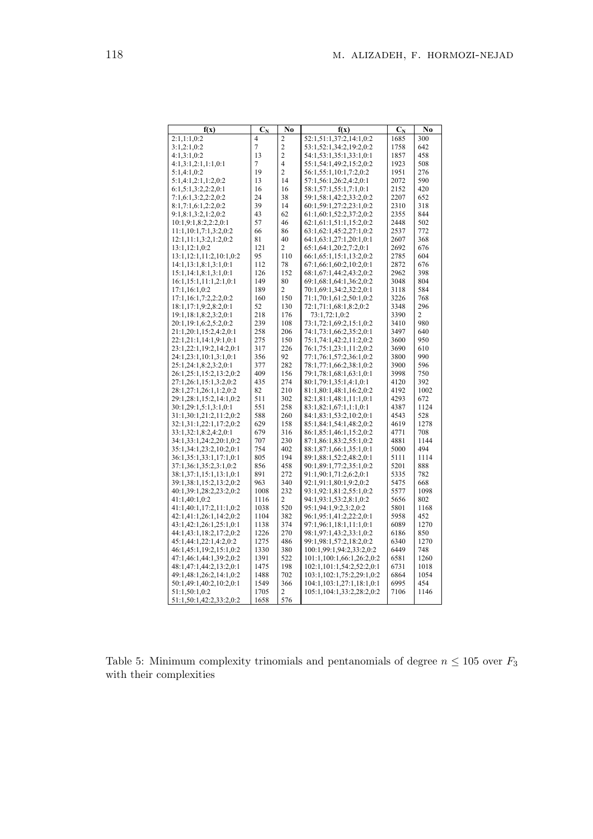| No<br>No<br>f(x)<br>$\mathbf{C_N}$<br>f(x)<br>$\mathbf{C_N}$<br>2:1,1:1,0:2<br>$\overline{4}$<br>52:1,51:1,37:2,14:1,0:2<br>1685<br>300<br>2<br>3:1,2:1,0:2<br>7<br>$\overline{c}$<br>53:1,52:1,34:2,19:2,0:2<br>1758<br>642<br>$\overline{c}$<br>4:1,3:1,0:2<br>13<br>54:1,53:1,35:1,33:1,0:1<br>1857<br>458<br>4<br>1923<br>4:1,3:1,2:1,1:1,0:1<br>7<br>55:1,54:1,49:2,15:2,0:2<br>508<br>19<br>$\overline{2}$<br>56:1,55:1,10:1,7:2,0:2<br>5:1,4:1,0:2<br>1951<br>276<br>14<br>57:1,56:1,26:2,4:2,0:1<br>2072<br>590<br>5:1,4:1,2:1,1:2,0:2<br>13<br>6:1,5:1,3:2,2:2,0:1<br>16<br>16<br>58:1,57:1,55:1,7:1,0:1<br>2152<br>420<br>24<br>38<br>59:1,58:1,42:2,33:2,0:2<br>7:1,6:1,3:2,2:2,0:2<br>2207<br>652<br>39<br>2310<br>8:1,7:1,6:1,2:2,0:2<br>14<br>60:1,59:1,27:2,23:1,0:2<br>318 |
|--------------------------------------------------------------------------------------------------------------------------------------------------------------------------------------------------------------------------------------------------------------------------------------------------------------------------------------------------------------------------------------------------------------------------------------------------------------------------------------------------------------------------------------------------------------------------------------------------------------------------------------------------------------------------------------------------------------------------------------------------------------------------------------------|
|                                                                                                                                                                                                                                                                                                                                                                                                                                                                                                                                                                                                                                                                                                                                                                                            |
|                                                                                                                                                                                                                                                                                                                                                                                                                                                                                                                                                                                                                                                                                                                                                                                            |
|                                                                                                                                                                                                                                                                                                                                                                                                                                                                                                                                                                                                                                                                                                                                                                                            |
|                                                                                                                                                                                                                                                                                                                                                                                                                                                                                                                                                                                                                                                                                                                                                                                            |
|                                                                                                                                                                                                                                                                                                                                                                                                                                                                                                                                                                                                                                                                                                                                                                                            |
|                                                                                                                                                                                                                                                                                                                                                                                                                                                                                                                                                                                                                                                                                                                                                                                            |
|                                                                                                                                                                                                                                                                                                                                                                                                                                                                                                                                                                                                                                                                                                                                                                                            |
|                                                                                                                                                                                                                                                                                                                                                                                                                                                                                                                                                                                                                                                                                                                                                                                            |
|                                                                                                                                                                                                                                                                                                                                                                                                                                                                                                                                                                                                                                                                                                                                                                                            |
| 43<br>61:1,60:1,52:2,37:2,0:2<br>2355<br>844<br>9:1,8:1,3:2,1:2,0:2<br>62                                                                                                                                                                                                                                                                                                                                                                                                                                                                                                                                                                                                                                                                                                                  |
| 46<br>62:1,61:1,51:1,15:2,0:2<br>10:1,9:1,8:2,2:2,0:1<br>57<br>2448<br>502                                                                                                                                                                                                                                                                                                                                                                                                                                                                                                                                                                                                                                                                                                                 |
| 86<br>2537<br>11:1,10:1,7:1,3:2,0:2<br>66<br>63:1,62:1,45:2,27:1,0:2<br>772                                                                                                                                                                                                                                                                                                                                                                                                                                                                                                                                                                                                                                                                                                                |
| 12:1,11:1,3:2,1:2,0:2<br>81<br>40<br>64:1,63:1,27:1,20:1,0:1<br>2607<br>368                                                                                                                                                                                                                                                                                                                                                                                                                                                                                                                                                                                                                                                                                                                |
| 13:1,12:1,0:2<br>121<br>2<br>65:1,64:1,20:2,7:2,0:1<br>2692<br>676                                                                                                                                                                                                                                                                                                                                                                                                                                                                                                                                                                                                                                                                                                                         |
| 13:1,12:1,11:2,10:1,0:2<br>95<br>110<br>66:1,65:1,15:1,13:2,0:2<br>2785<br>604                                                                                                                                                                                                                                                                                                                                                                                                                                                                                                                                                                                                                                                                                                             |
| 14:1,13:1,8:1,3:1,0:1<br>112<br>78<br>67:1,66:1,60:2,10:2,0:1<br>2872<br>676                                                                                                                                                                                                                                                                                                                                                                                                                                                                                                                                                                                                                                                                                                               |
| 152<br>2962<br>398<br>15:1,14:1,8:1,3:1,0:1<br>126<br>68:1,67:1,44:2,43:2,0:2                                                                                                                                                                                                                                                                                                                                                                                                                                                                                                                                                                                                                                                                                                              |
| 16:1,15:1,11:1,2:1,0:1<br>149<br>80<br>69:1,68:1,64:1,36:2,0:2<br>3048<br>804                                                                                                                                                                                                                                                                                                                                                                                                                                                                                                                                                                                                                                                                                                              |
| 3118<br>17:1,16:1,0:2<br>189<br>2<br>70:1,69:1,34:2,32:2,0:1<br>584                                                                                                                                                                                                                                                                                                                                                                                                                                                                                                                                                                                                                                                                                                                        |
| 160<br>150<br>3226<br>768<br>17:1,16:1,7:2,2:2,0:2<br>71:1,70:1,61:2,50:1,0:2                                                                                                                                                                                                                                                                                                                                                                                                                                                                                                                                                                                                                                                                                                              |
| 52<br>130<br>72:1,71:1,68:1,8:2,0:2<br>3348<br>296<br>18:1,17:1,9:2,8:2,0:1<br>218                                                                                                                                                                                                                                                                                                                                                                                                                                                                                                                                                                                                                                                                                                         |
| 19:1,18:1,8:2,3:2,0:1<br>176<br>73:1,72:1,0:2<br>3390<br>2<br>239<br>108<br>3410                                                                                                                                                                                                                                                                                                                                                                                                                                                                                                                                                                                                                                                                                                           |
| 20:1,19:1,6:2,5:2,0:2<br>73:1,72:1,69:2,15:1,0:2<br>980<br>258<br>206<br>74:1,73:1,66:2,35:2,0:1<br>3497<br>640                                                                                                                                                                                                                                                                                                                                                                                                                                                                                                                                                                                                                                                                            |
| 21:1,20:1,15:2,4:2,0:1<br>22:1,21:1,14:1,9:1,0:1<br>150<br>75:1,74:1,42:2,11:2,0:2<br>3600<br>950                                                                                                                                                                                                                                                                                                                                                                                                                                                                                                                                                                                                                                                                                          |
| 275<br>317<br>226<br>76:1,75:1,23:1,11:2,0:2<br>3690<br>610<br>23:1,22:1,19:2,14:2,0:1                                                                                                                                                                                                                                                                                                                                                                                                                                                                                                                                                                                                                                                                                                     |
| 24:1,23:1,10:1,3:1,0:1<br>356<br>92<br>77:1,76:1,57:2,36:1,0:2<br>3800<br>990                                                                                                                                                                                                                                                                                                                                                                                                                                                                                                                                                                                                                                                                                                              |
| 25:1,24:1,8:2,3:2,0:1<br>377<br>282<br>78:1,77:1,66:2,38:1,0:2<br>3900<br>596                                                                                                                                                                                                                                                                                                                                                                                                                                                                                                                                                                                                                                                                                                              |
| 26:1,25:1,15:2,13:2,0:2<br>409<br>156<br>79:1,78:1,68:1,63:1,0:1<br>3998<br>750                                                                                                                                                                                                                                                                                                                                                                                                                                                                                                                                                                                                                                                                                                            |
| 435<br>274<br>4120<br>392<br>27:1,26:1,15:1,3:2,0:2<br>80:1,79:1,35:1,4:1,0:1                                                                                                                                                                                                                                                                                                                                                                                                                                                                                                                                                                                                                                                                                                              |
| 28:1,27:1,26:1,1:2,0:2<br>82<br>210<br>81:1,80:1,48:1,16:2,0:2<br>4192<br>1002                                                                                                                                                                                                                                                                                                                                                                                                                                                                                                                                                                                                                                                                                                             |
| 4293<br>29:1,28:1,15:2,14:1,0:2<br>511<br>302<br>82:1,81:1,48:1,11:1,0:1<br>672                                                                                                                                                                                                                                                                                                                                                                                                                                                                                                                                                                                                                                                                                                            |
| 4387<br>30:1,29:1,5:1,3:1,0:1<br>551<br>258<br>83:1,82:1,67:1,1:1,0:1<br>1124                                                                                                                                                                                                                                                                                                                                                                                                                                                                                                                                                                                                                                                                                                              |
| 260<br>31:1,30:1,21:2,11:2,0:2<br>588<br>84:1,83:1,53:2,10:2,0:1<br>4543<br>528                                                                                                                                                                                                                                                                                                                                                                                                                                                                                                                                                                                                                                                                                                            |
| 32:1,31:1,22:1,17:2,0:2<br>158<br>85:1,84:1,54:1,48:2,0:2<br>629<br>4619<br>1278                                                                                                                                                                                                                                                                                                                                                                                                                                                                                                                                                                                                                                                                                                           |
| 679<br>316<br>86:1,85:1,46:1,15:2,0:2<br>4771<br>708<br>33:1,32:1,8:2,4:2,0:1                                                                                                                                                                                                                                                                                                                                                                                                                                                                                                                                                                                                                                                                                                              |
| 34:1,33:1,24:2,20:1,0:2<br>707<br>230<br>87:1,86:1,83:2,55:1,0:2<br>4881<br>1144                                                                                                                                                                                                                                                                                                                                                                                                                                                                                                                                                                                                                                                                                                           |
| 754<br>402<br>5000<br>494<br>35:1,34:1,23:2,10:2,0:1<br>88:1,87:1,66:1,35:1,0:1                                                                                                                                                                                                                                                                                                                                                                                                                                                                                                                                                                                                                                                                                                            |
| 36:1,35:1,33:1,17:1,0:1<br>805<br>194<br>89:1,88:1,52:2,48:2,0:1<br>5111<br>1114                                                                                                                                                                                                                                                                                                                                                                                                                                                                                                                                                                                                                                                                                                           |
| 856<br>458<br>90:1,89:1,77:2,35:1,0:2<br>5201<br>37:1,36:1,35:2,3:1,0:2<br>888                                                                                                                                                                                                                                                                                                                                                                                                                                                                                                                                                                                                                                                                                                             |
| 891<br>272<br>5335<br>782<br>38:1,37:1,15:1,13:1,0:1<br>91:1,90:1,71:2,6:2,0:1                                                                                                                                                                                                                                                                                                                                                                                                                                                                                                                                                                                                                                                                                                             |
| 39:1,38:1,15:2,13:2,0:2<br>963<br>340<br>92:1,91:1,80:1,9:2,0:2<br>5475<br>668                                                                                                                                                                                                                                                                                                                                                                                                                                                                                                                                                                                                                                                                                                             |
| 40:1,39:1,28:2,23:2,0:2<br>1008<br>232<br>93:1,92:1,81:2,55:1,0:2<br>5577<br>1098                                                                                                                                                                                                                                                                                                                                                                                                                                                                                                                                                                                                                                                                                                          |
| 41:1,40:1,0:2<br>1116<br>2<br>94:1,93:1,53:2,8:1,0:2<br>5656<br>802                                                                                                                                                                                                                                                                                                                                                                                                                                                                                                                                                                                                                                                                                                                        |
| 520<br>5801<br>41:1,40:1,17:2,11:1,0:2<br>1038<br>95:1,94:1,9:2,3:2,0:2<br>1168                                                                                                                                                                                                                                                                                                                                                                                                                                                                                                                                                                                                                                                                                                            |
| 42:1,41:1,26:1,14:2,0:2<br>96:1,95:1,41:2,22:2,0:1<br>5958<br>1104<br>382<br>452                                                                                                                                                                                                                                                                                                                                                                                                                                                                                                                                                                                                                                                                                                           |
| 43:1,42:1,26:1,25:1,0:1<br>1138<br>374<br>97:1,96:1,18:1,11:1,0:1<br>6089<br>1270                                                                                                                                                                                                                                                                                                                                                                                                                                                                                                                                                                                                                                                                                                          |
| 44:1,43:1,18:2,17:2,0:2<br>1226<br>270<br>98:1,97:1,43:2,33:1,0:2<br>6186<br>850                                                                                                                                                                                                                                                                                                                                                                                                                                                                                                                                                                                                                                                                                                           |
| 45:1,44:1,22:1,4:2,0:2<br>1275<br>486<br>99:1,98:1,57:2,18:2,0:2<br>6340<br>1270                                                                                                                                                                                                                                                                                                                                                                                                                                                                                                                                                                                                                                                                                                           |
| 1330<br>380<br>6449<br>748<br>46:1,45:1,19:2,15:1,0:2<br>100:1,99:1,94:2,33:2,0:2                                                                                                                                                                                                                                                                                                                                                                                                                                                                                                                                                                                                                                                                                                          |
| 1391<br>522<br>101:1,100:1,66:1,26:2,0:2<br>6581<br>47:1,46:1,44:1,39:2,0:2<br>1260                                                                                                                                                                                                                                                                                                                                                                                                                                                                                                                                                                                                                                                                                                        |
| 48:1,47:1,44:2,13:2,0:1<br>1475<br>198<br>102:1,101:1,54:2,52:2,0:1<br>6731<br>1018                                                                                                                                                                                                                                                                                                                                                                                                                                                                                                                                                                                                                                                                                                        |
| 49:1,48:1,26:2,14:1,0:2<br>1488<br>702<br>103:1,102:1,75:2,29:1,0:2<br>6864<br>1054                                                                                                                                                                                                                                                                                                                                                                                                                                                                                                                                                                                                                                                                                                        |
| 366<br>6995<br>454<br>50:1,49:1,40:2,10:2,0:1<br>1549<br>104:1,103:1,27:1,18:1,0:1<br>1705                                                                                                                                                                                                                                                                                                                                                                                                                                                                                                                                                                                                                                                                                                 |
| 51:1,50:1,0:2<br>7106<br>1146<br>2<br>105:1,104:1,33:2,28:2,0:2<br>51:1,50:1,42:2,33:2,0:2<br>1658<br>576                                                                                                                                                                                                                                                                                                                                                                                                                                                                                                                                                                                                                                                                                  |

Table 5: Minimum complexity trinomials and pentanomials of degree  $n\leq 105$  over  $F_3$ with their complexities  $% \left\vert \cdot \right\rangle$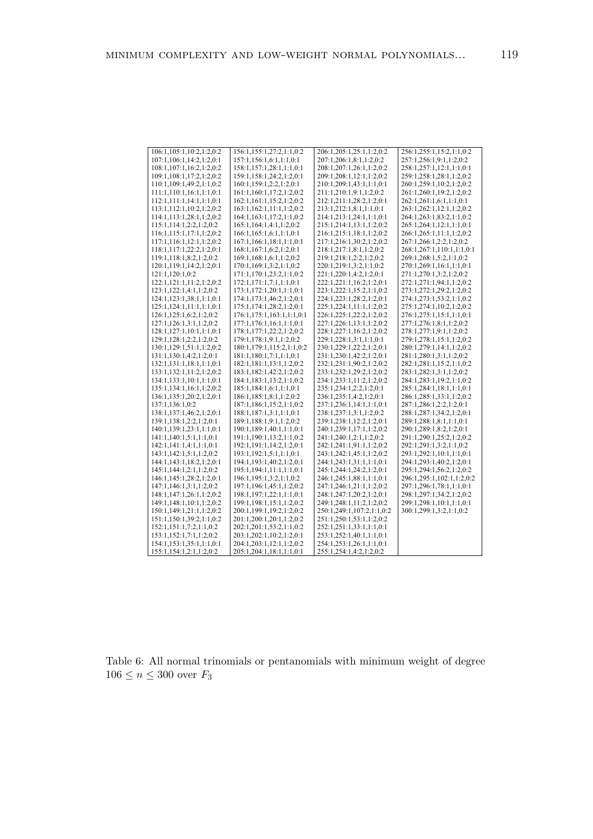| 106:1,105:1,10:2,1:2,0:2 | 156:1,155:1,27:2,1:1,0:2  | 206:1,205:1,25:1,1:2,0:2  | 256:1,255:1,15:2,1:1,0:2  |
|--------------------------|---------------------------|---------------------------|---------------------------|
| 107:1,106:1,14:2,1:2,0:1 | 157:1,156:1,6:1,1:1,0:1   | 207:1,206:1,8:1,1:2,0:2   | 257:1,256:1,9:1,1:2,0:2   |
| 108:1,107:1,16:2,1:2,0:2 | 158:1,157:1,28:1,1:1,0:1  | 208:1,207:1,26:1,1:2,0:2  | 258:1,257:1,12:1,1:1,0:1  |
| 109:1,108:1,17:2,1:2,0:2 | 159:1,158:1,24:2,1:2,0:1  | 209:1,208:1,12:1,1:2,0:2  | 259:1,258:1,28:1,1:2,0:2  |
| 110:1,109:1,49:2,1:1,0:2 | 160:1,159:1,2:2,1:2,0:1   | 210:1,209:1,43:1,1:1,0:1  | 260:1,259:1,10:2,1:2,0:2  |
| 111:1,110:1,16:1,1:1,0:1 | 161:1,160:1,17:2,1:2,0:2  | 211:1,210:1,9:1,1:2,0:2   | 261:1,260:1,19:2,1:2,0:2  |
| 112:1,111:1,14:1,1:1,0:1 | 162:1,161:1,15:2,1:2,0:2  | 212:1,211:1,28:2,1:2,0:1  | 262:1,261:1,6:1,1:1,0:1   |
| 113:1,112:1,10:2,1:2,0:2 | 163:1,162:1,11:1,1:2,0:2  | 213:1,212:1,8:1,1:1,0:1   | 263:1,262:1,12:1,1:2,0:2  |
| 114:1,113:1,28:1,1:2,0:2 | 164:1,163:1,17:2,1:1,0:2  | 214:1,213:1,24:1,1:1,0:1  | 264:1,263:1,83:2,1:1,0:2  |
| 115:1,114:1,2:2,1:2,0:2  | 165:1,164:1,4:1,1:2,0:2   | 215:1,214:1,13:1,1:2,0:2  | 265:1,264:1,12:1,1:1,0:1  |
| 116:1,115:1,17:1,1:2,0:2 | 166:1,165:1,6:1,1:1,0:1   | 216:1,215:1,18:1,1:2,0:2  | 266:1,265:1,11:1,1:2,0:2  |
| 117:1,116:1,12:1,1:2,0:2 | 167:1,166:1,18:1,1:1,0:1  | 217:1,216:1,30:2,1:2,0:2  | 267:1,266:1,2:2,1:2,0:2   |
| 118:1,117:1,22:2,1:2,0:1 | 168:1,167:1,6:2,1:2,0:1   | 218:1,217:1,8:1,1:2,0:2   | 268:1,267:1,110:1,1:1,0:1 |
| 119:1,118:1,8:2,1:2,0:2  | 169:1,168:1,6:1,1:2,0:2   | 219:1,218:1,2:2,1:2,0:2   | 269:1,268:1,5:2,1:1,0:2   |
| 120:1,119:1,14:2,1:2,0:1 | 170:1,169:1,3:2,1:1,0:2   | 220:1,219:1,3:2,1:1,0:2   | 270:1,269:1,16:1,1:1,0:1  |
| 121:1,120:1,0:2          | 171:1,170:1,23:2,1:1,0:2  | 221:1,220:1,4:2,1:2,0:1   | 271:1,270:1,3:2,1:2,0:2   |
| 122:1,121:1,11:2,1:2,0:2 | 172:1,171:1,7:1,1:1,0:1   | 222:1,221:1,16:2,1:2,0:1  | 272:1,271:1,94:1,1:2,0:2  |
| 123:1,122:1,4:1,1:2,0:2  | 173:1,172:1,20:1,1:1,0:1  | 223:1,222:1,15:2,1:1,0:2  | 273:1,272:1,29:2,1:2,0:2  |
| 124:1,123:1,38:1,1:1,0:1 | 174:1,173:1,46:2,1:2,0:1  | 224:1,223:1,28:2,1:2,0:1  | 274:1,273:1,53:2,1:1,0:2  |
| 125:1,124:1,11:1,1:1,0:1 | 175:1,174:1,28:2,1:2,0:1  | 225:1,224:1,11:1,1:2,0:2  | 275:1,274:1,10:2,1:2,0:2  |
| 126:1,125:1,6:2,1:2,0:2  | 176:1,175:1,163:1,1:1,0:1 | 226:1,225:1,22:2,1:2,0:2  | 276:1,275:1,15:1,1:1,0:1  |
| 127:1,126:1,3:1,1:2,0:2  | 177:1,176:1,16:1,1:1,0:1  | 227:1,226:1,13:1,1:2,0:2  | 277:1,276:1,8:1,1:2,0:2   |
| 128:1,127:1,10:1,1:1,0:1 | 178:1,177:1,22:2,1:2,0:2  | 228:1,227:1,16:2,1:2,0:2  | 278:1,277:1,9:1,1:2,0:2   |
| 129:1,128:1,2:2,1:2,0:2  | 179:1,178:1,9:1,1:2,0:2   | 229:1,228:1,3:1,1:1,0:1   | 279:1,278:1,15:1,1:2,0:2  |
| 130:1,129:1,51:1,1:2,0:2 | 180:1,179:1,115:2,1:1,0:2 | 230:1,229:1,22:2,1:2,0:1  | 280:1,279:1,14:1,1:2,0:2  |
| 131:1,130:1,4:2,1:2,0:1  | 181:1,180:1,7:1,1:1,0:1   | 231:1,230:1,42:2,1:2,0:1  | 281:1,280:1,3:1,1:2,0:2   |
| 132:1,131:1,18:1,1:1,0:1 | 182:1,181:1,13:1,1:2,0:2  | 232:1,231:1,90:2,1:2,0:2  | 282:1,281:1,15:2,1:1,0:2  |
| 133:1,132:1,11:2,1:2,0:2 | 183:1,182:1,42:2,1:2,0:2  | 233:1,232:1,29:2,1:2,0:2  | 283:1,282:1,3:1,1:2,0:2   |
| 134:1,133:1,10:1,1:1,0:1 | 184:1,183:1,13:2,1:1,0:2  | 234:1,233:1,11:2,1:2,0:2  | 284:1,283:1,19:2,1:1,0:2  |
| 135:1,134:1,16:1,1:2,0:2 | 185:1,184:1,6:1,1:1,0:1   | 235:1,234:1,2:2,1:2,0:1   | 285:1,284:1,18:1,1:1,0:1  |
| 136:1,135:1,20:2,1:2,0:1 | 186:1,185:1,8:1,1:2,0:2   | 236:1,235:1,4:2,1:2,0:1   | 286:1,285:1,33:1,1:2,0:2  |
| 137:1,136:1,0:2          | 187:1,186:1,15:2,1:1,0:2  | 237:1,236:1,14:1,1:1,0:1  | 287:1,286:1,2:2,1:2,0:1   |
| 138:1,137:1,46:2,1:2,0:1 | 188:1,187:1,3:1,1:1,0:1   | 238:1,237:1,3:1,1:2,0:2   | 288:1,287:1,34:2,1:2,0:1  |
| 139:1,138:1,2:2,1:2,0:1  | 189:1,188:1,9:1,1:2,0:2   | 239:1,238:1,12:2,1:2,0:1  | 289:1,288:1,8:1,1:1,0:1   |
| 140:1,139:1,23:1,1:1,0:1 | 190:1,189:1,40:1,1:1,0:1  | 240:1,239:1,17:1,1:2,0:2  | 290:1,289:1,8:2,1:2,0:1   |
| 141:1,140:1,5:1,1:1,0:1  | 191:1,190:1,13:2,1:1,0:2  | 241:1,240:1,2:1,1:2,0:2   | 291:1,290:1,25:2,1:2,0:2  |
| 142:1,141:1,4:1,1:1,0:1  | 192:1,191:1,14:2,1:2,0:1  | 242:1,241:1,91:1,1:2,0:2  | 292:1,291:1,3:2,1:1,0:2   |
|                          |                           |                           |                           |
| 143:1,142:1,5:1,1:2,0:2  | 193:1,192:1,5:1,1:1,0:1   | 243:1,242:1,45:1,1:2,0:2  | 293:1,292:1,10:1,1:1,0:1  |
| 144:1,143:1,18:2,1:2,0:1 | 194:1,193:1,40:2,1:2,0:1  | 244:1,243:1,31:1,1:1,0:1  | 294:1,293:1,40:2,1:2,0:1  |
| 145:1,144:1,2:1,1:2,0:2  | 195:1,194:1,11:1,1:1,0:1  | 245:1,244:1,24:2,1:2,0:1  | 295:1,294:1,56:2,1:2,0:2  |
| 146:1,145:1,28:2,1:2,0:1 | 196:1,195:1,3:2,1:1,0:2   | 246:1,245:1,88:1,1:1,0:1  | 296:1,295:1,102:1,1:2,0:2 |
| 147:1,146:1,3:1,1:2,0:2  | 197:1,196:1,45:1,1:2,0:2  | 247:1,246:1,21:1,1:2,0:2  | 297:1,296:1,78:1,1:1,0:1  |
| 148:1,147:1,26:1,1:2,0:2 | 198:1,197:1,22:1,1:1,0:1  | 248:1,247:1,20:2,1:2,0:1  | 298:1,297:1,34:2,1:2,0:2  |
| 149:1,148:1,10:1,1:2,0:2 | 199:1,198:1,15:1,1:2,0:2  | 249:1,248:1,11:2,1:2,0:2  | 299:1,298:1,10:1,1:1,0:1  |
| 150:1,149:1,21:1,1:2,0:2 | 200:1,199:1,19:2,1:2,0:2  | 250:1,249:1,107:2,1:1,0:2 | 300:1,299:1,3:2,1:1,0:2   |
| 151:1,150:1,39:2,1:1,0:2 | 201:1,200:1,20:1,1:2,0:2  | 251:1,250:1,53:1,1:2,0:2  |                           |
| 152:1,151:1,7:2,1:1,0:2  | 202:1,201:1,53:2,1:1,0:2  | 252:1,251:1,33:1,1:1,0:1  |                           |
| 153:1,152:1,7:1,1:2,0:2  | 203:1,202:1,10:2,1:2,0:1  | 253:1,252:1,40:1,1:1,0:1  |                           |
| 154:1,153:1,35:1,1:1,0:1 | 204:1,203:1,12:1,1:2,0:2  | 254:1,253:1,26:1,1:1,0:1  |                           |
| 155:1,154:1,2:1,1:2,0:2  | 205:1,204:1,18:1,1:1,0:1  | 255:1,254:1,4:2,1:2,0:2   |                           |

Table 6: All normal trinomials or pentanomials with minimum weight of degree  $106 \le n \le 300$  over  $F_3$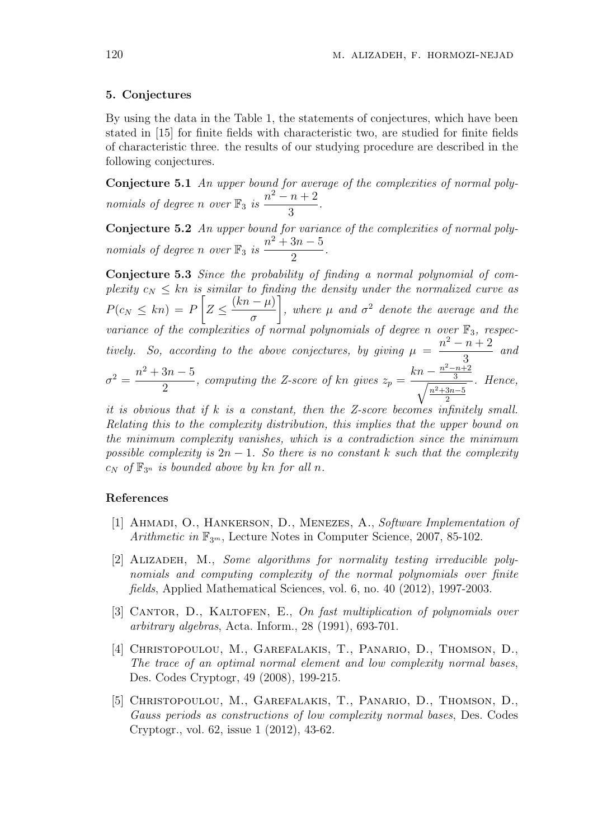#### 5. Conjectures

By using the data in the Table 1, the statements of conjectures, which have been stated in [15] for finite fields with characteristic two, are studied for finite fields of characteristic three. the results of our studying procedure are described in the following conjectures.

Conjecture 5.1 An upper bound for average of the complexities of normal polynomials of degree n over  $\mathbb{F}_3$  is  $n^2-n+2$ 3 .

Conjecture 5.2 An upper bound for variance of the complexities of normal polynomials of degree n over  $\mathbb{F}_3$  is  $n^2 + 3n - 5$ 2 .

Conjecture 5.3 Since the probability of finding a normal polynomial of complexity  $c_N \leq kn$  is similar to finding the density under the normalized curve as  $P(c_N \leq kn) = P | Z \leq$  $(kn - \mu)$ σ , where  $\mu$  and  $\sigma^2$  denote the average and the variance of the complexities of normal polynomials of degree n over  $\mathbb{F}_3$ , respectively. So, according to the above conjectures, by giving  $\mu =$  $n^2 - n + 2$ 3 and  $\sigma^2 = \frac{n^2 + 3n - 5}{2}$  $\frac{5h}{2}$ , computing the Z-score of kn gives  $z_p =$  $kn - \frac{n^2 - n + 2}{3}$  $\frac{16}{\frac{3}{2}}$  $n^2+3n-5$ 2 . Hence,

it is obvious that if k is a constant, then the Z-score becomes infinitely small. Relating this to the complexity distribution, this implies that the upper bound on the minimum complexity vanishes, which is a contradiction since the minimum possible complexity is  $2n - 1$ . So there is no constant k such that the complexity  $c_N$  of  $\mathbb{F}_{3^n}$  is bounded above by kn for all n.

### References

- [1] Ahmadi, O., Hankerson, D., Menezes, A., Software Implementation of Arithmetic in  $\mathbb{F}_{3^m}$ , Lecture Notes in Computer Science, 2007, 85-102.
- [2] ALIZADEH, M., Some algorithms for normality testing irreducible polynomials and computing complexity of the normal polynomials over finite fields, Applied Mathematical Sciences, vol. 6, no. 40 (2012), 1997-2003.
- [3] CANTOR, D., KALTOFEN, E., On fast multiplication of polynomials over arbitrary algebras, Acta. Inform., 28 (1991), 693-701.
- [4] CHRISTOPOULOU, M., GAREFALAKIS, T., PANARIO, D., THOMSON, D., The trace of an optimal normal element and low complexity normal bases, Des. Codes Cryptogr, 49 (2008), 199-215.
- [5] Christopoulou, M., Garefalakis, T., Panario, D., Thomson, D., Gauss periods as constructions of low complexity normal bases, Des. Codes Cryptogr., vol. 62, issue 1 (2012), 43-62.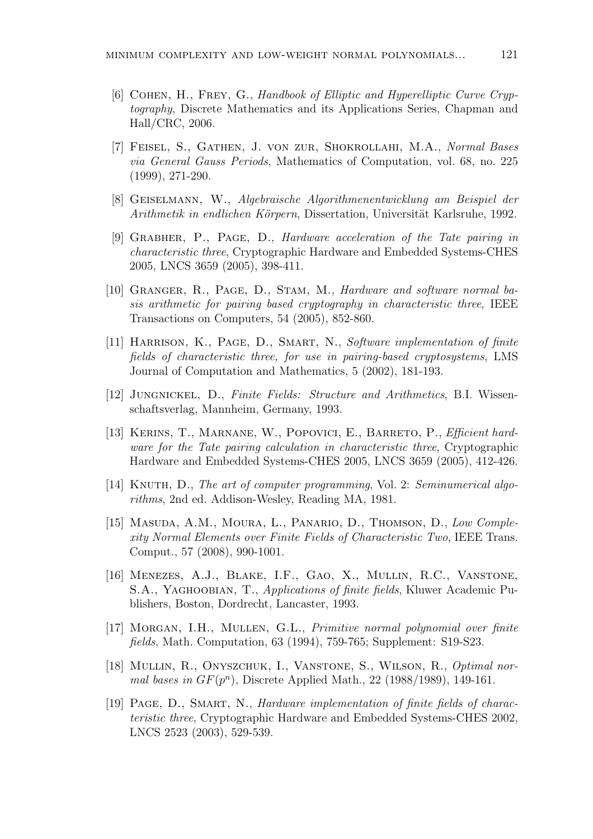- [6] Cohen, H., Frey, G., Handbook of Elliptic and Hyperelliptic Curve Cryptography, Discrete Mathematics and its Applications Series, Chapman and Hall/CRC, 2006.
- [7] Feisel, S., Gathen, J. von zur, Shokrollahi, M.A., Normal Bases via General Gauss Periods, Mathematics of Computation, vol. 68, no. 225 (1999), 271-290.
- [8] Geiselmann, W., Algebraische Algorithmenentwicklung am Beispiel der Arithmetik in endlichen Körpern, Dissertation, Universität Karlsruhe, 1992.
- [9] Grabher, P., Page, D., Hardware acceleration of the Tate pairing in characteristic three, Cryptographic Hardware and Embedded Systems-CHES 2005, LNCS 3659 (2005), 398-411.
- [10] GRANGER, R., PAGE, D., STAM, M., Hardware and software normal basis arithmetic for pairing based cryptography in characteristic three, IEEE Transactions on Computers, 54 (2005), 852-860.
- [11] HARRISON, K., PAGE, D., SMART, N., Software implementation of finite fields of characteristic three, for use in pairing-based cryptosystems, LMS Journal of Computation and Mathematics, 5 (2002), 181-193.
- [12] Jungnickel, D., Finite Fields: Structure and Arithmetics, B.I. Wissenschaftsverlag, Mannheim, Germany, 1993.
- [13] KERINS, T., MARNANE, W., POPOVICI, E., BARRETO, P., *Efficient hard*ware for the Tate pairing calculation in characteristic three, Cryptographic Hardware and Embedded Systems-CHES 2005, LNCS 3659 (2005), 412-426.
- [14] KNUTH, D., The art of computer programming, Vol. 2: Seminumerical algorithms, 2nd ed. Addison-Wesley, Reading MA, 1981.
- [15] Masuda, A.M., Moura, L., Panario, D., Thomson, D., Low Complexity Normal Elements over Finite Fields of Characteristic Two, IEEE Trans. Comput., 57 (2008), 990-1001.
- [16] Menezes, A.J., Blake, I.F., Gao, X., Mullin, R.C., Vanstone, S.A., Yaghoobian, T., Applications of finite fields, Kluwer Academic Publishers, Boston, Dordrecht, Lancaster, 1993.
- [17] MORGAN, I.H., MULLEN, G.L., *Primitive normal polynomial over finite* fields, Math. Computation, 63 (1994), 759-765; Supplement: S19-S23.
- [18] Mullin, R., Onyszchuk, I., Vanstone, S., Wilson, R., Optimal normal bases in  $GF(p^n)$ , Discrete Applied Math., 22 (1988/1989), 149-161.
- [19] Page, D., Smart, N., Hardware implementation of finite fields of characteristic three, Cryptographic Hardware and Embedded Systems-CHES 2002, LNCS 2523 (2003), 529-539.